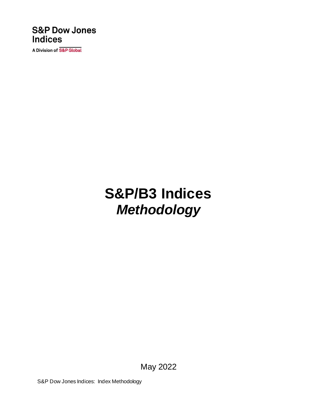

A Division of S&P Global

# **S&P/B3 Indices** *Methodology*

May 2022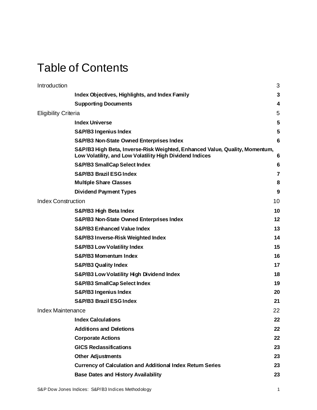# Table of Contents

| Introduction                |                                                                                                                                         | 3  |
|-----------------------------|-----------------------------------------------------------------------------------------------------------------------------------------|----|
|                             | Index Objectives, Highlights, and Index Family                                                                                          | 3  |
|                             | <b>Supporting Documents</b>                                                                                                             | 4  |
| <b>Eligibility Criteria</b> |                                                                                                                                         | 5  |
|                             | <b>Index Universe</b>                                                                                                                   | 5  |
|                             | <b>S&amp;P/B3 Ingenius Index</b>                                                                                                        | 5  |
|                             | <b>S&amp;P/B3 Non-State Owned Enterprises Index</b>                                                                                     | 6  |
|                             | S&P/B3 High Beta, Inverse-Risk Weighted, Enhanced Value, Quality, Momentum,<br>Low Volatility, and Low Volatility High Dividend Indices | 6  |
|                             | <b>S&amp;P/B3 SmallCap Select Index</b>                                                                                                 | 6  |
|                             | <b>S&amp;P/B3 Brazil ESG Index</b>                                                                                                      | 7  |
|                             | <b>Multiple Share Classes</b>                                                                                                           | 8  |
|                             | <b>Dividend Payment Types</b>                                                                                                           | 9  |
| <b>Index Construction</b>   |                                                                                                                                         | 10 |
|                             | S&P/B3 High Beta Index                                                                                                                  | 10 |
|                             | <b>S&amp;P/B3 Non-State Owned Enterprises Index</b>                                                                                     | 12 |
|                             | <b>S&amp;P/B3 Enhanced Value Index</b>                                                                                                  | 13 |
|                             | S&P/B3 Inverse-Risk Weighted Index                                                                                                      | 14 |
|                             | <b>S&amp;P/B3 Low Volatility Index</b>                                                                                                  | 15 |
|                             | S&P/B3 Momentum Index                                                                                                                   | 16 |
|                             | <b>S&amp;P/B3 Quality Index</b>                                                                                                         | 17 |
|                             | <b>S&amp;P/B3 Low Volatility High Dividend Index</b>                                                                                    | 18 |
|                             | <b>S&amp;P/B3 SmallCap Select Index</b>                                                                                                 | 19 |
|                             | S&P/B3 Ingenius Index                                                                                                                   | 20 |
|                             | <b>S&amp;P/B3 Brazil ESG Index</b>                                                                                                      | 21 |
| <b>Index Maintenance</b>    |                                                                                                                                         | 22 |
|                             | <b>Index Calculations</b>                                                                                                               | 22 |
|                             | <b>Additions and Deletions</b>                                                                                                          | 22 |
|                             | <b>Corporate Actions</b>                                                                                                                | 22 |
|                             | <b>GICS Reclassifications</b>                                                                                                           | 23 |
|                             | <b>Other Adjustments</b>                                                                                                                | 23 |
|                             | <b>Currency of Calculation and Additional Index Return Series</b>                                                                       | 23 |
|                             | <b>Base Dates and History Availability</b>                                                                                              | 23 |
|                             |                                                                                                                                         |    |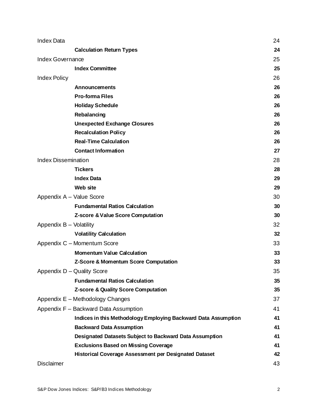| <b>Index Data</b>          |                                                                | 24 |
|----------------------------|----------------------------------------------------------------|----|
|                            | <b>Calculation Return Types</b>                                | 24 |
| <b>Index Governance</b>    |                                                                | 25 |
|                            | <b>Index Committee</b>                                         | 25 |
| <b>Index Policy</b>        |                                                                | 26 |
|                            | <b>Announcements</b>                                           | 26 |
|                            | <b>Pro-forma Files</b>                                         | 26 |
|                            | <b>Holiday Schedule</b>                                        | 26 |
|                            | Rebalancing                                                    | 26 |
|                            | <b>Unexpected Exchange Closures</b>                            | 26 |
|                            | <b>Recalculation Policy</b>                                    | 26 |
|                            | <b>Real-Time Calculation</b>                                   | 26 |
|                            | <b>Contact Information</b>                                     | 27 |
| <b>Index Dissemination</b> |                                                                | 28 |
|                            | <b>Tickers</b>                                                 | 28 |
|                            | <b>Index Data</b>                                              | 29 |
|                            | Web site                                                       | 29 |
|                            | Appendix A - Value Score                                       | 30 |
|                            | <b>Fundamental Ratios Calculation</b>                          | 30 |
|                            | <b>Z-score &amp; Value Score Computation</b>                   | 30 |
| Appendix B - Volatility    |                                                                | 32 |
|                            | <b>Volatility Calculation</b>                                  | 32 |
|                            | Appendix C - Momentum Score                                    | 33 |
|                            | <b>Momentum Value Calculation</b>                              | 33 |
|                            | Z-Score & Momentum Score Computation                           | 33 |
|                            | Appendix D - Quality Score                                     | 35 |
|                            | <b>Fundamental Ratios Calculation</b>                          | 35 |
|                            | <b>Z-score &amp; Quality Score Computation</b>                 | 35 |
|                            | Appendix E - Methodology Changes                               | 37 |
|                            | Appendix F - Backward Data Assumption                          | 41 |
|                            | Indices in this Methodology Employing Backward Data Assumption | 41 |
|                            | <b>Backward Data Assumption</b>                                | 41 |
|                            | Designated Datasets Subject to Backward Data Assumption        | 41 |
|                            | <b>Exclusions Based on Missing Coverage</b>                    | 41 |
|                            | Historical Coverage Assessment per Designated Dataset          | 42 |
| <b>Disclaimer</b>          |                                                                | 43 |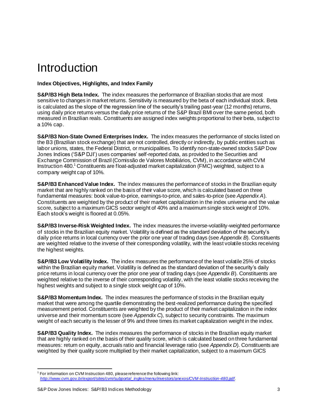### <span id="page-3-0"></span>Introduction

### <span id="page-3-1"></span>**Index Objectives, Highlights, and Index Family**

**S&P/B3 High Beta Index***.* The index measures the performance of Brazilian stocks that are most sensitive to changes in market returns. Sensitivity is measured by the beta of each individual stock. Beta is calculated as the slope of the regression line of the security's trailing past-year (12 months) returns, using daily price returns versus the daily price returns of the S&P Brazil BMI over the same period, both measured in Brazilian reals. Constituents are assigned index weights proportional to their beta, subject to a 10% cap.

**S&P/B3 Non-State Owned Enterprises Index.** The index measures the performance of stocks listed on the B3 (Brazilian stock exchange) that are not controlled, directly or indirectly, by public entities such as labor unions, states, the Federal District, or municipalities. To identify non-state-owned stocks S&P Dow Jones Indices ('S&P DJI') uses companies' self-reported data, as provided to the Securities and Exchange Commission of Brazil (Comissão de Valores Mobiliários, CVM), in accordance with CVM Instruction 480. <sup>1</sup> Constituents are float-adjusted market capitalization (FMC) weighted, subject to a company weight cap of 10%.

**S&P/B3 Enhanced Value Index.** The index measures the performance of stocks in the Brazilian equity market that are highly ranked on the basis of their value score, which is calculated based on three fundamental measures: book value-to-price, earnings-to-price, and sales-to-price (see *Appendix A*). Constituents are weighted by the product of their market capitalization in the index universe and the value score, subject to a maximum GICS sector weight of 40% and a maximum single stock weight of 10%. Each stock's weight is floored at 0.05%.

**S&P/B3 Inverse-Risk Weighted Index.** The index measures the inverse-volatility-weighted performance of stocks in the Brazilian equity market. Volatility is defined as the standard deviation of the security's daily price returns in local currency over the prior one year of trading days (see *Appendix B*). Constituents are weighted relative to the inverse of their corresponding volatility, with the least volatile stocks receiving the highest weights.

**S&P/B3 Low Volatility Index.** The index measures the performance of the least volatile 25% of stocks within the Brazilian equity market. Volatility is defined as the standard deviation of the security's daily price returns in local currency over the prior one year of trading days (see *Appendix B*). Constituents are weighted relative to the inverse of their corresponding volatility, with the least volatile stocks receiving the highest weights and subject to a single stock weight cap of 10%.

**S&P/B3 Momentum Index.** The index measures the performance of stocks in the Brazilian equity market that were among the quartile demonstrating the best-realized performance during the specified measurement period. Constituents are weighted by the product of their market capitalization in the index universe and their momentum score (see *Appendix C*), subject to security constraints. The maximum weight of each security is the lesser of 9% and three times its market capitalization weight in the index.

**S&P/B3 Quality Index.** The index measures the performance of stocks in the Brazilian equity market that are highly ranked on the basis of their quality score, which is calculated based on three fundamental measures: return on equity, accruals ratio and financial leverage ratio (see *Appendix D*). Constituents are weighted by their quality score multiplied by their market capitalization, subject to a maximum GICS

 $1$  For information on CVM Instruction 480, please reference the following link: *[http://www.cvm.gov.br/export/sites/cvm/subportal\\_ingles/menu/investors/anexos/CVM-Instruction-480.pdf](http://www.cvm.gov.br/export/sites/cvm/subportal_ingles/menu/investors/anexos/CVM-Instruction-480.pdf)*.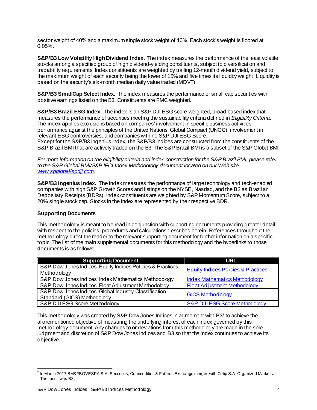sector weight of 40% and a maximum single stock weight of 10%. Each stock's weight is floored at 0.05%.

**S&P/B3 Low Volatility High Dividend Index.** The index measures the performance of the least volatile stocks among a specified group of high dividend-yielding constituents, subject to diversification and tradability requirements. Index constituents are weighted by trailing 12-month dividend yield, subject to the maximum weight of each security being the lower of 15% and five times its liquidity weight. Liquidity is based on the security's six-month median daily value traded (MDVT).

**S&P/B3 SmallCap Select Index.** The index measures the performance of small cap securities with positive earnings listed on the B3. Constituents are FMC weighted.

**S&P/B3 Brazil ESG Index.** The index is an S&P DJI ESG score-weighted, broad-based index that measures the performance of securities meeting the sustainability criteria defined in *Eligibility Criteria*. The index applies exclusions based on companies' involvement in specific business activities, performance against the principles of the United Nations' Global Compact (UNGC), involvement in relevant ESG controversies, and companies with no S&P DJI ESG Score. Except for the S&P/B3 Ingenius Index, the S&P/B3 Indices are constructed from the constituents of the S&P Brazil BMI that are actively traded on the B3. The S&P Brazil BMI is a subset of the S&P Global BMI.

*For more information on the eligibility criteria and index construction for the S&P Brazil BMI, please refer to the S&P Global BMI/S&P IFCI Index Methodology document located on our Web site, [www.spglobal/spdji.com](http://www.spdji.com/).*

**S&P/B3 Ingenius Index.** The index measures the performance of large technology and tech-enabled companies with high S&P Growth Scores and listings on the NYSE, Nasdaq, and the B3 as Brazilian Depositary Receipts (BDRs). Index constituents are weighted by S&P Momentum Score, subject to a 20% single stock cap. Stocks in the index are represented by their respective BDR.

### <span id="page-4-0"></span>**Supporting Documents**

This methodology is meant to be read in conjunction with supporting documents providing greater detail with respect to the policies, procedures and calculations described herein. References throughout the methodology direct the reader to the relevant supporting document for further information on a specific topic. The list of the main supplemental documents for this methodology and the hyperlinks to those documents is as follows:

| <b>Supporting Document</b>                                 | URL                                            |
|------------------------------------------------------------|------------------------------------------------|
| S&P Dow Jones Indices' Equity Indices Policies & Practices | <b>Equity Indices Policies &amp; Practices</b> |
| Methodology                                                |                                                |
| S&P Dow Jones Indices' Index Mathematics Methodology       | <b>Index Mathematics Methodology</b>           |
| S&P Dow Jones Indices' Float Adjustment Methodology        | <b>Float Adjustment Methodology</b>            |
| S&P Dow Jones Indices' Global Industry Classification      |                                                |
| Standard (GICS) Methodology                                | <b>GICS Methodology</b>                        |
| S&P DJI ESG Score Methodology                              | S&P DJI ESG Score Methodology                  |

This methodology was created by S&P Dow Jones Indices in agreement with B3<sup>2</sup> to achieve the aforementioned objective of measuring the underlying interest of each index governed by this methodology document. Any changes to or deviations from this methodology are made in the sole judgment and discretion of S&P Dow Jones Indices and B3 so that the index continues to achieve its objective.

<sup>&</sup>lt;sup>2</sup> In March 2017 BM&FBOVESPA S.A. Securities, Commodities & Futures Exchange merged with Cetip S.A. Organized Markets. The result was B3.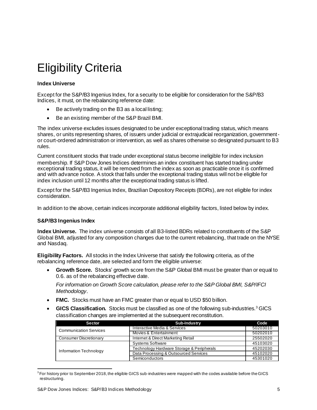# <span id="page-5-0"></span>Eligibility Criteria

### <span id="page-5-1"></span>**Index Universe**

Except for the S&P/B3 Ingenius Index, for a security to be eligible for consideration for the S&P/B3 Indices, it must, on the rebalancing reference date:

- Be actively trading on the B3 as a local listing;
- Be an existing member of the S&P Brazil BMI.

The index universe excludes issues designated to be under exceptional trading status, which means shares, or units representing shares, of issuers under judicial or extrajudicial reorganization, governmentor court-ordered administration or intervention, as well as shares otherwise so designated pursuant to B3 rules.

Current constituent stocks that trade under exceptional status become ineligible for index inclusion membership. If S&P Dow Jones Indices determines an index constituent has started trading under exceptional trading status, it will be removed from the index as soon as practicable once it is confirmed and with advance notice. A stock that falls under the exceptional trading status will not be eligible for index inclusion until 12 months after the exceptional trading status is lifted.

Except for the S&P/B3 Ingenius Index, Brazilian Depository Receipts (BDRs), are not eligible for index consideration.

<span id="page-5-2"></span>In addition to the above, certain indices incorporate additional eligibility factors, listed below by index.

### **S&P/B3 Ingenius Index**

**Index Universe.** The index universe consists of all B3-listed BDRs related to constituents of the S&P Global BMI, adjusted for any composition changes due to the current rebalancing, that trade on the NYSE and Nasdaq.

**Eligibility Factors.** All stocks in the Index Universe that satisfy the following criteria, as of the rebalancing reference date, are selected and form the eligible universe:

• **Growth Score.** Stocks' growth score from the S&P Global BMI must be greater than or equal to 0.6. as of the rebalancing effective date.

*For information on Growth Score calculation, please refer to the S&P Global BMI, S&P/IFCI Methodology.*

- **FMC.** Stocks must have an FMC greater than or equal to USD \$50 billion.
- **GICS Classification.** Stocks must be classified as one of the following sub-industries. <sup>3</sup> GICS classification changes are implemented at the subsequent reconstitution.

| <b>Sector</b>                 | <b>Sub-Industry</b>                       | Code     |
|-------------------------------|-------------------------------------------|----------|
| <b>Communication Services</b> | Interactive Media & Services              | 50203010 |
|                               | Movies & Entertainment                    | 50202010 |
| Consumer Discretionary        | Internet & Direct Marketing Retail        | 25502020 |
|                               | <b>Systems Software</b>                   | 45103020 |
| <b>Information Technology</b> | Technology Hardware Storage & Peripherals | 45202030 |
|                               | Data Processing & Outsourced Services     | 45102020 |
|                               | Semiconductors                            | 45301020 |

 $^3$  For history prior to September 2018, the eligible GICS sub-industries were mapped with the codes available before the GICS restructuring.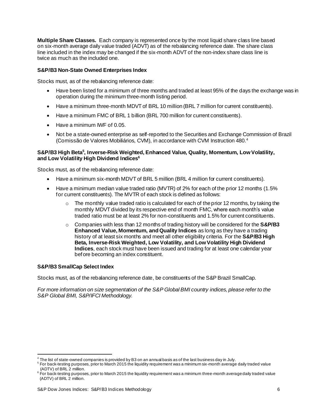**Multiple Share Classes.** Each company is represented once by the most liquid share class line based on six-month average daily value traded (ADVT) as of the rebalancing reference date. The share class line included in the index may be changed if the six-month ADVT of the non-index share class line is twice as much as the included one.

### <span id="page-6-0"></span>**S&P/B3 Non-State Owned Enterprises Index**

Stocks must, as of the rebalancing reference date:

- Have been listed for a minimum of three months and traded at least 95% of the days the exchange was in operation during the minimum three-month listing period.
- Have a minimum three-month MDVT of BRL 10 million (BRL 7 million for current constituents).
- Have a minimum FMC of BRL 1 billion (BRL 700 million for current constituents).
- Have a minimum IWF of 0.05.
- Not be a state-owned enterprise as self-reported to the Securities and Exchange Commission of Brazil (Comissão de Valores Mobiliários, CVM), in accordance with CVM Instruction 480.<sup>4</sup>

### <span id="page-6-1"></span>**S&P/B3 High Beta<sup>5</sup> , Inverse-Risk Weighted, Enhanced Value, Quality, Momentum, Low Volatility, and Low Volatility High Dividend Indices<sup>6</sup>**

Stocks must, as of the rebalancing reference date:

- Have a minimum six-month MDVT of BRL 5 million (BRL 4 million for current constituents).
- Have a minimum median value traded ratio (MVTR) of 2% for each of the prior 12 months (1.5% for current constituents). The MVTR of each stock is defined as follows:
	- The monthly value traded ratio is calculated for each of the prior 12 months, by taking the monthly MDVT divided by its respective end of month FMC, where each month's value traded ratio must be at least 2% for non-constituents and 1.5% for current constituents.
	- o Companies with less than 12 months of trading history will be considered for the **S&P/B3 Enhanced Value, Momentum, and Quality Indices** as long as they have a trading history of at least six months and meet all other eligibility criteria. For the **S&P/B3 High Beta, Inverse-Risk Weighted, Low Volatility, and Low Volatility High Dividend Indices**, each stock must have been issued and trading for at least one calendar year before becoming an index constituent.

### <span id="page-6-2"></span>**S&P/B3 SmallCap Select Index**

Stocks must, as of the rebalancing reference date, be constituents of the S&P Brazil SmallCap.

*For more information on size segmentation of the S&P Global BMI country indices, please refer to the S&P Global BMI, S&P/IFCI Methodology.*

 $^4$  The list of state-owned companies is provided by B3 on an annual basis as of the last business day in July.

 $^5$  For back-testing purposes, prior to March 2015 the liquidity requirement was a minimum six-month average daily traded value

<sup>(</sup>ADTV) of BRL 2 million. 6 For back-testing purposes, prior to March 2015 the liquidity requirement was a minimum three-month average daily traded value (ADTV) of BRL 2 million.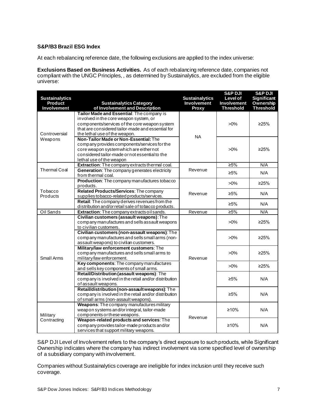### <span id="page-7-0"></span>**S&P/B3 Brazil ESG Index**

At each rebalancing reference date, the following exclusions are applied to the index universe:

**Exclusions Based on Business Activities.** As of each rebalancing reference date, companies not compliant with the UNGC Principles, , as determined by Sustainalytics, are excluded from the eligible universe:

| <b>Sustainalytics</b><br>Product<br>Involvement | <b>Sustainalytics Category</b><br>of Involvement and Description                                                                                                                                                           | <b>Sustainalytics</b><br>Involvement<br>Proxy | <b>S&amp;P DJI</b><br>Level of<br><b>Involvement</b><br><b>Threshold</b> | <b>S&amp;P DJI</b><br><b>Significant</b><br>Ownership<br><b>Threshold</b> |
|-------------------------------------------------|----------------------------------------------------------------------------------------------------------------------------------------------------------------------------------------------------------------------------|-----------------------------------------------|--------------------------------------------------------------------------|---------------------------------------------------------------------------|
| Controversial                                   | Tailor Made and Essential: The company is<br>involved in the core weapon system, or<br>components/services of the core weapon system<br>that are considered tailor-made and essential for<br>the lethal use of the weapon. | <b>NA</b>                                     | $>0\%$                                                                   | ≥25%                                                                      |
| Weapons                                         | Non-Tailor Made or Non-Essential: The<br>company provides components/services for the<br>core weapon system which are either not<br>considered tailor-made or not essential to the<br>lethal use of the weapon             |                                               | $>0\%$                                                                   | ≥25%                                                                      |
| <b>Thermal Coal</b>                             | Extraction: The company extracts thermal coal.                                                                                                                                                                             | Revenue                                       | ≥5%                                                                      | N/A                                                                       |
|                                                 | Generation: The company generates electricity<br>from thermal coal.                                                                                                                                                        |                                               | $\geq 5\%$                                                               | N/A                                                                       |
|                                                 | Production: The company manufactures tobacco<br>products.                                                                                                                                                                  |                                               | $>0\%$                                                                   | >25%                                                                      |
| Tobacco<br>Products                             | Related Products/Services: The company<br>supplies to bacco-related products/services.                                                                                                                                     | Revenue                                       | ≥5%                                                                      | N/A                                                                       |
|                                                 | Retail: The company derives revenues from the<br>distribution and/or retail sale of tobacco products.                                                                                                                      |                                               | ≥5%                                                                      | N/A                                                                       |
| Oil Sands                                       | <b>Extraction:</b> The company extracts oil sands.                                                                                                                                                                         | Revenue                                       | $\overline{\geq}5\%$                                                     | N/A                                                                       |
|                                                 | Civilian customers (assault weapons): The<br>company manufactures and sells assault weapons<br>to civilian customers.                                                                                                      |                                               | $>0\%$                                                                   | ≥25%                                                                      |
|                                                 | Civilian customers (non-assault weapons): The<br>company manufactures and sells small arms (non-<br>assault weapons) to civilian customers.                                                                                |                                               | $>0\%$                                                                   | ≥25%                                                                      |
| Small Arms                                      | Military/law enforcement customers: The<br>company manufactures and sells small arms to<br>military/law enforcement.                                                                                                       | Revenue                                       | $>0\%$                                                                   | ≥25%                                                                      |
|                                                 | Key components: The company manufactures<br>and sells key components of small arms.                                                                                                                                        |                                               | $>0\%$                                                                   | ≥25%                                                                      |
|                                                 | Retail/Distribution (assault weapons): The<br>company is involved in the retail and/or distribution<br>of assault weapons.                                                                                                 |                                               | ≥5%                                                                      | N/A                                                                       |
|                                                 | Retail/distribution (non-assault weapons): The<br>company is involved in the retail and/or distribution<br>of small arms (non-assault weapons).                                                                            |                                               | ≥5%                                                                      | N/A                                                                       |
| Military                                        | Weapons: The company manufactures military<br>weapon systems and/or integral, tailor-made<br>components or these weapons.                                                                                                  |                                               | ≥10%                                                                     | N/A                                                                       |
| Contracting                                     | Weapon-related products and services: The<br>company provides tailor-made products and/or<br>services that support military weapons.                                                                                       | Revenue                                       | ≥10%                                                                     | N/A                                                                       |

S&P DJI Level of Involvement refers to the company's direct exposure to such products, while Significant Ownership indicates where the company has indirect involvement via some specified level of ownership of a subsidiary company with involvement.

Companies without Sustainalytics coverage are ineligible for index inclusion until they receive such coverage.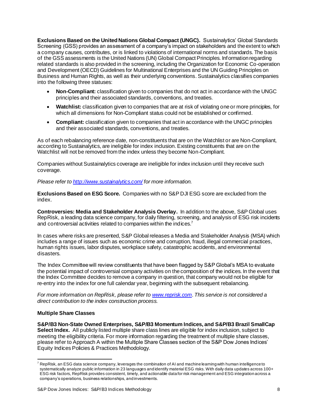**Exclusions Based on the United Nations Global Compact (UNGC).** Sustainalytics' Global Standards Screening (GSS) provides an assessment of a company's impact on stakeholders and the extent to which a company causes, contributes, or is linked to violations of international norms and standards. The basis of the GSS assessments is the United Nations (UN) Global Compact Principles. Information regarding related standards is also provided in the screening, including the Organization for Economic Co-operation and Development (OECD) Guidelines for Multinational Enterprises and the UN Guiding Principles on Business and Human Rights, as well as their underlying conventions. Sustainalytics classifies companies into the following three statuses:

- **Non-Compliant:** classification given to companies that do not act in accordance with the UNGC principles and their associated standards, conventions, and treaties.
- **Watchlist:** classification given to companies that are at risk of violating one or more principles, for which all dimensions for Non-Compliant status could not be established or confirmed.
- **Compliant:** classification given to companies that act in accordance with the UNGC principles and their associated standards, conventions, and treaties.

As of each rebalancing reference date, non-constituents that are on the Watchlist or are Non-Compliant, according to Sustainalytics, are ineligible for index inclusion. Existing constituents that are on the Watchlist will not be removed from the index unless they become Non-Compliant.

Companies without Sustainalytics coverage are ineligible for index inclusion until they receive such coverage.

*Please refer t[o http://www.sustainalytics.com/](http://www.sustainalytics.com/) for more information.* 

**Exclusions Based on ESG Score.** Companies with no S&P DJI ESG score are excluded from the index.

**Controversies: Media and Stakeholder Analysis Overlay.** In addition to the above, S&P Global uses RepRisk, a leading data science company, for daily filtering, screening, and analysis of ESG risk incidents and controversial activities related to companies within the indices.<sup>7</sup>

In cases where risks are presented, S&P Global releases a Media and Stakeholder Analysis (MSA) which includes a range of issues such as economic crime and corruption, fraud, illegal commercial practices, human rights issues, labor disputes, workplace safety, catastrophic accidents, and environmental disasters.

The Index Committee will review constituents that have been flagged by S&P Global's MSA to evaluate the potential impact of controversial company activities on the composition of the indices. In the event that the Index Committee decides to remove a company in question, that company would not be eligible for re-entry into the index for one full calendar year, beginning with the subsequent rebalancing.

*For more information on RepRisk, please refer to [www.reprisk.com](http://www.reprisk.com/)*. *This service is not considered a direct contribution to the index construction process.*

### <span id="page-8-0"></span>**Multiple Share Classes**

**S&P/B3 Non-State Owned Enterprises, S&P/B3 Momentum Indices, and S&P/B3 Brazil SmallCap Select Index.** All publicly listed multiple share class lines are eligible for index inclusion, subject to meeting the eligibility criteria. For more information regarding the treatment of multiple share classes, please refer to Approach A within the Multiple Share Classes section of the S&P Dow Jones Indices' Equity Indices Policies & Practices Methodology.

 $^7$  RepRisk, an ESG data science company, leverages the combination of AI and machine learning with human intelligence to systematically analyze public information in 23 languages and identify material ESG risks. With daily data updates across 100+ ESG risk factors, RepRisk provides consistent, timely, and actionable data for risk management and ESG integration across a company's operations, business relationships, and investments.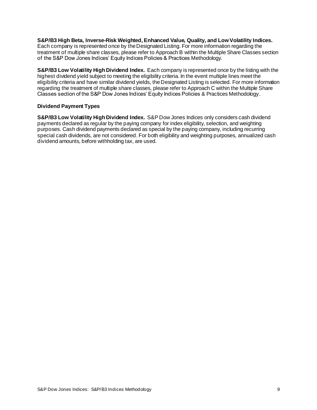#### **S&P/B3 High Beta, Inverse-Risk Weighted, Enhanced Value, Quality, and Low Volatility Indices.** Each company is represented once by the Designated Listing. For more information regarding the treatment of multiple share classes, please refer to Approach B within the Multiple Share Classes section of the S&P Dow Jones Indices' Equity Indices Policies & Practices Methodology.

**S&P/B3 Low Volatility High Dividend Index.** Each company is represented once by the listing with the highest dividend yield subject to meeting the eligibility criteria. In the event multiple lines meet the eligibility criteria and have similar dividend yields, the Designated Listing is selected. For more information regarding the treatment of multiple share classes, please refer to Approach C within the Multiple Share Classes section of the S&P Dow Jones Indices' Equity Indices Policies & Practices Methodology.

### <span id="page-9-0"></span>**Dividend Payment Types**

**S&P/B3 Low Volatility High Dividend Index.** S&P Dow Jones Indices only considers cash dividend payments declared as regular by the paying company for index eligibility, selection, and weighting purposes. Cash dividend payments declared as special by the paying company, including recurring special cash dividends, are not considered. For both eligibility and weighting purposes, annualized cash dividend amounts, before withholding tax, are used.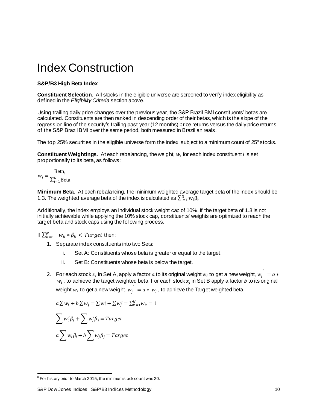### <span id="page-10-0"></span>Index Construction

### <span id="page-10-1"></span>**S&P/B3 High Beta Index**

**Constituent Selection.** All stocks in the eligible universe are screened to verify index eligibility as defined in the *Eligibility Criteria* section above.

Using trailing daily price changes over the previous year, the S&P Brazil BMI constituents' betas are calculated. Constituents are then ranked in descending order of their betas, which is the slope of the regression line of the security's trailing past-year (12 months) price returns versus the daily price returns of the S&P Brazil BMI over the same period, both measured in Brazilian reals.

The top 25% securities in the eligible universe form the index, subject to a minimum count of  $25^8$  stocks.

**Constituent Weightings.** At each rebalancing, the weight, *w*, for each index constituent *i* is set proportionally to its beta, as follows:

$$
w_i = \frac{Beta_i}{\sum_{i=1}^N Beta}
$$

**Minimum Beta.** At each rebalancing, the minimum weighted average target beta of the index should be 1.3. The weighted average beta of the index is calculated as  $\sum_{i=1}^N w_i\beta_i$ .

Additionally, the index employs an individual stock weight cap of 10%. If the target beta of 1.3 is not initially achievable while applying the 10% stock cap, constituents' weights are optimized to reach the target beta and stock caps using the following process.

If  $\sum_{k=1}^{N} w_k * \beta_k$  < Target then:

- 1. Separate index constituents into two Sets:
	- i. Set A: Constituents whose beta is greater or equal to the target.
	- ii. Set B: Constituents whose beta is below the target.
- 2. For each stock  $x_i$  in Set A, apply a factor  $a$  to its original weight  $w_i$  to get a new weight,  $w_i^{'} = a *$  $w_i$  , to achieve the target weighted beta; For each stock  $x_j$  in Set B apply a factor  $b$  to its original

weight  $w_j$  to get a new weight,  $w_j^{'} = a * w_j$  , to achieve the Target weighted beta.

$$
a\sum w_i + b\sum w_j = \sum w'_i + \sum w'_j = \sum_{k=1}^N w_k = 1
$$

$$
\sum w_i' \beta_i + \sum w_j' \beta_j = Target
$$

$$
a \sum w_i \beta_i + b \sum w_j \beta_j = Target
$$

 $8$  For history prior to March 2015, the minimum stock count was 20.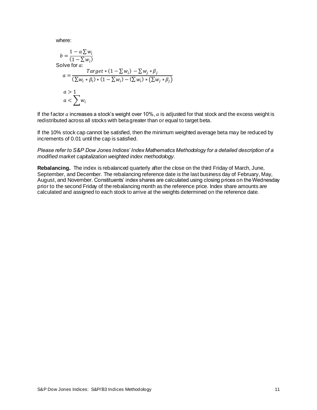where:

$$
b = \frac{1 - a \sum w_i}{(1 - \sum w_i)}
$$
  
Solve for *a*:  

$$
a = \frac{Target * (1 - \sum w_i) - \sum w_i * \beta_i}{(\sum w_i * \beta_i) * (1 - \sum w_i) - (\sum w_i) * (\sum w_j * \beta_i)}
$$
  

$$
a > 1
$$
  

$$
a < \sum w_i
$$

If the factor  $a$  increases a stock's weight over 10%,  $a$  is adjusted for that stock and the excess weight is redistributed across all stocks with beta greater than or equal to target beta.

If the 10% stock cap cannot be satisfied, then the minimum weighted average beta may be reduced by increments of 0.01 until the cap is satisfied.

*Please refer to S&P Dow Jones Indices' Index Mathematics Methodology for a detailed description of a modified market capitalization weighted index methodology.*

**Rebalancing.** The index is rebalanced quarterly after the close on the third Friday of March, June, September, and December. The rebalancing reference date is the last business day of February, May, August, and November. Constituents' index shares are calculated using closing prices on the Wednesday prior to the second Friday of the rebalancing month as the reference price. Index share amounts are calculated and assigned to each stock to arrive at the weights determined on the reference date.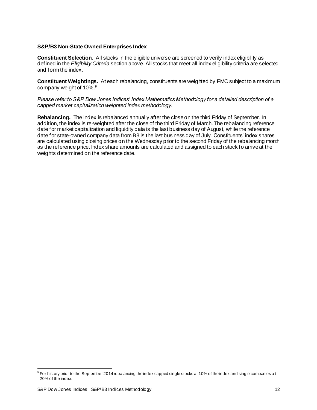### <span id="page-12-0"></span>**S&P/B3 Non-State Owned Enterprises Index**

**Constituent Selection.** All stocks in the eligible universe are screened to verify index eligibility as defined in the *Eligibility Criteria* section above. All stocks that meet all index eligibility criteria are selected and form the index.

**Constituent Weightings.** At each rebalancing, constituents are weighted by FMC subject to a maximum company weight of 10%.<sup>9</sup>

*Please refer to S&P Dow Jones Indices' Index Mathematics Methodology for a detailed description of a capped market capitalization weighted index methodology.*

**Rebalancing.** The index is rebalanced annually after the close on the third Friday of September. In addition, the index is re-weighted after the close of the third Friday of March. The rebalancing reference date for market capitalization and liquidity data is the last business day of August, while the reference date for state-owned company data from B3 is the last business day of July. Constituents' index shares are calculated using closing prices on the Wednesday prior to the second Friday of the rebalancing month as the reference price. Index share amounts are calculated and assigned to each stock to arrive at the weights determined on the reference date.

 $^9$  For history prior to the September 2014 rebalancing the index capped single stocks at 10% of the index and single companies a t 20% of the index.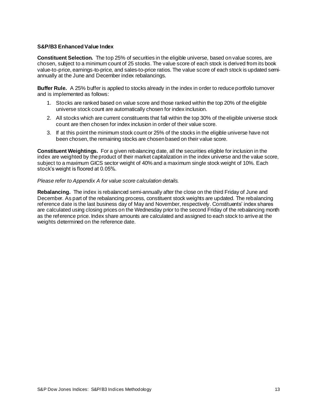### <span id="page-13-0"></span>**S&P/B3 Enhanced Value Index**

**Constituent Selection.** The top 25% of securities in the eligible universe, based on value scores, are chosen, subject to a minimum count of 25 stocks. The value score of each stock is derived from its book value-to-price, earnings-to-price, and sales-to-price ratios. The value score of each stock is updated semiannually at the June and December index rebalancings.

**Buffer Rule.** A 25% buffer is applied to stocks already in the index in order to reduce portfolio turnover and is implemented as follows:

- 1. Stocks are ranked based on value score and those ranked within the top 20% of the eligible universe stock count are automatically chosen for index inclusion.
- 2. All stocks which are current constituents that fall within the top 30% of the eligible universe stock count are then chosen for index inclusion in order of their value score.
- 3. If at this point the minimum stock count or 25% of the stocks in the eligible universe have not been chosen, the remaining stocks are chosen based on their value score.

**Constituent Weightings.** For a given rebalancing date, all the securities eligible for inclusion in the index are weighted by the product of their market capitalization in the index universe and the value score, subject to a maximum GICS sector weight of 40% and a maximum single stock weight of 10%. Each stock's weight is floored at 0.05%.

### *Please refer to Appendix A for value score calculation details.*

**Rebalancing.** The index is rebalanced semi-annually after the close on the third Friday of June and December. As part of the rebalancing process, constituent stock weights are updated. The rebalancing reference date is the last business day of May and November, respectively. Constituents' index shares are calculated using closing prices on the Wednesday prior to the second Friday of the rebalancing month as the reference price. Index share amounts are calculated and assigned to each stock to arrive at the weights determined on the reference date.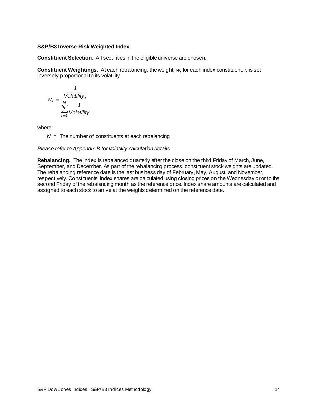### <span id="page-14-0"></span>**S&P/B3 Inverse-Risk Weighted Index**

**Constituent Selection.** All securities in the eligible universe are chosen.

**Constituent Weightings.** At each rebalancing, the weight, *w*, for each index constituent, *i*, is set inversely proportional to its volatility.

$$
w_{i} = \frac{\frac{1}{\text{Volatility}_{i}}}{\sum_{i=1}^{N} \frac{1}{\text{Volatility}}}
$$

where:

*N* = The number of constituents at each rebalancing

### *Please refer to Appendix B for volatility calculation details.*

**Rebalancing.** The index is rebalanced quarterly after the close on the third Friday of March, June, September, and December. As part of the rebalancing process, constituent stock weights are updated. The rebalancing reference date is the last business day of February, May, August, and November, respectively. Constituents' index shares are calculated using closing prices on the Wednesday prior to the second Friday of the rebalancing month as the reference price. Index share amounts are calculated and assigned to each stock to arrive at the weights determined on the reference date.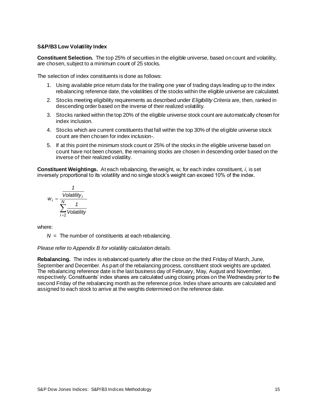### <span id="page-15-0"></span>**S&P/B3 Low Volatility Index**

**Constituent Selection.** The top 25% of securities in the eligible universe, based on count and volatility, are chosen, subject to a minimum count of 25 stocks.

The selection of index constituents is done as follows:

- 1. Using available price return data for the trailing one year of trading days leading up to the index rebalancing reference date, the volatilities of the stocks within the eligible universe are calculated.
- 2. Stocks meeting eligibility requirements as described under *Eligibility Criteria* are, then, ranked in descending order based on the inverse of their realized volatility.
- 3. Stocks ranked within the top 20% of the eligible universe stock count are automatically chosen for index inclusion.
- 4. Stocks which are current constituents that fall within the top 30% of the eligible universe stock count are then chosen for index inclusion-.
- 5. If at this point the minimum stock count or 25% of the stocks in the eligible universe based on count have not been chosen, the remaining stocks are chosen in descending order based on the inverse of their realized volatility.

**Constituent Weightings.** At each rebalancing, the weight, *w*, for each index constituent, *i*, is set inversely proportional to its volatility and no single stock's weight can exceed 10% of the index.

$$
w_{i} = \frac{\frac{1}{\text{Volatility}_{i}}}{\sum_{i=1}^{N} \frac{1}{\text{Volatility}}}
$$

where:

*N* = The number of constituents at each rebalancing.

#### *Please refer to Appendix B for volatility calculation details.*

**Rebalancing.** The index is rebalanced quarterly after the close on the third Friday of March, June, September and December. As part of the rebalancing process, constituent stock weights are updated. The rebalancing reference date is the last business day of February, May, August and November, respectively. Constituents' index shares are calculated using closing prices on the Wednesday prior to the second Friday of the rebalancing month as the reference price. Index share amounts are calculated and assigned to each stock to arrive at the weights determined on the reference date.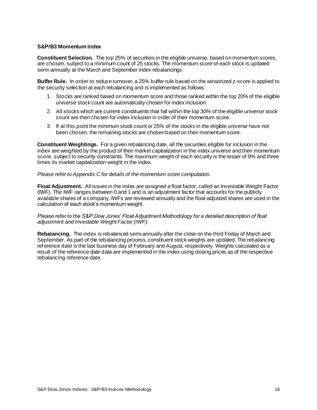### <span id="page-16-0"></span>**S&P/B3 Momentum Index**

**Constituent Selection.** The top 25% of securities in the eligible universe, based on momentum scores, are chosen, subject to a minimum count of 25 stocks. The momentum score of each stock is updated semi-annually at the March and September index rebalancings.

**Buffer Rule.** In order to reduce turnover, a 25% buffer rule based on the winsorized z-score is applied to the security selection at each rebalancing and is implemented as follows:

- 1. Stocks are ranked based on momentum score and those ranked within the top 20% of the eligible universe stock count are automatically chosen for index inclusion.
- 2. All stocks which are current constituents that fall within the top 30% of the eligible universe stock count are then chosen for index inclusion in order of their momentum score.
- 3. If at this point the minimum stock count or 25% of the stocks in the eligible universe have not been chosen, the remaining stocks are chosen based on their momentum score.

**Constituent Weightings.** For a given rebalancing date, all the securities eligible for inclusion in the index are weighted by the product of their market capitalization in the index universe and their momentum score, subject to security constraints. The maximum weight of each security is the lesser of 9% and three times its market capitalization weight in the index.

*Please refer to Appendix C for details of the momentum score computation.*

**Float Adjustment.** All issues in the index are assigned a float factor, called an Investable Weight Factor (IWF). The IWF ranges between 0 and 1 and is an adjustment factor that accounts for the publicly available shares of a company. IWFs are reviewed annually and the float-adjusted shares are used in the calculation of each stock's momentum weight.

### *Please refer to the S&P Dow Jones' Float Adjustment Methodology for a detailed description of float adjustment and Investable Weight Factor (IWF).*

**Rebalancing.** The index is rebalanced semi-annually after the close on the third Friday of March and September. As part of the rebalancing process, constituent stock weights are updated. The rebalancing reference date is the last business day of February and August, respectively. Weights calculated as a result of the reference date data are implemented in the index using closing prices as of the respective rebalancing reference date.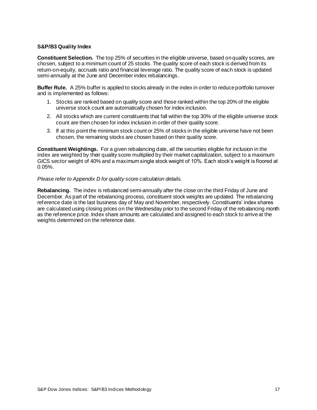### <span id="page-17-0"></span>**S&P/B3 Quality Index**

**Constituent Selection.** The top 25% of securities in the eligible universe, based on quality scores, are chosen, subject to a minimum count of 25 stocks. The quality score of each stock is derived from its return-on-equity, accruals ratio and financial leverage ratio. The quality score of each stock is updated semi-annually at the June and December index rebalancings.

**Buffer Rule.** A 25% buffer is applied to stocks already in the index in order to reduce portfolio turnover and is implemented as follows:

- 1. Stocks are ranked based on quality score and those ranked within the top 20% of the eligible universe stock count are automatically chosen for index inclusion.
- 2. All stocks which are current constituents that fall within the top 30% of the eligible universe stock count are then chosen for index inclusion in order of their quality score.
- 3. If at this point the minimum stock count or 25% of stocks in the eligible universe have not been chosen, the remaining stocks are chosen based on their quality score.

**Constituent Weightings.** For a given rebalancing date, all the securities eligible for inclusion in the index are weighted by their quality score multiplied by their market capitalization, subject to a maximum GICS sector weight of 40% and a maximum single stock weight of 10%. Each stock's weight is floored at 0.05%.

### *Please refer to Appendix D for quality score calculation details.*

**Rebalancing.** The index is rebalanced semi-annually after the close on the third Friday of June and December. As part of the rebalancing process, constituent stock weights are updated. The rebalancing reference date is the last business day of May and November, respectively. Constituents' index shares are calculated using closing prices on the Wednesday prior to the second Friday of the rebalancing month as the reference price. Index share amounts are calculated and assigned to each stock to arrive at the weights determined on the reference date.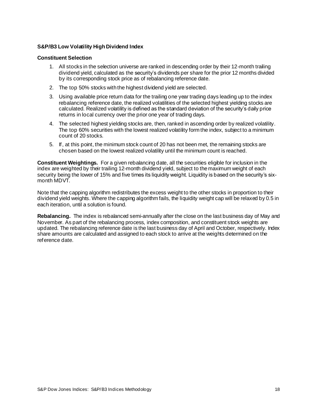### <span id="page-18-0"></span>**S&P/B3 Low Volatility High Dividend Index**

#### **Constituent Selection**

- 1. All stocks in the selection universe are ranked in descending order by their 12-month trailing dividend yield, calculated as the security's dividends per share for the prior 12 months divided by its corresponding stock price as of rebalancing reference date.
- 2. The top 50% stocks with the highest dividend yield are selected.
- 3. Using available price return data for the trailing one year trading days leading up to the index rebalancing reference date, the realized volatilities of the selected highest yielding stocks are calculated. Realized volatility is defined as the standard deviation of the security's daily price returns in local currency over the prior one year of trading days.
- 4. The selected highest yielding stocks are, then, ranked in ascending order by realized volatility. The top 60% securities with the lowest realized volatility form the index, subject to a minimum count of 20 stocks.
- 5. If, at this point, the minimum stock count of 20 has not been met, the remaining stocks are chosen based on the lowest realized volatility until the minimum count is reached.

**Constituent Weightings.** For a given rebalancing date, all the securities eligible for inclusion in the index are weighted by their trailing 12-month dividend yield, subject to the maximum weight of each security being the lower of 15% and five times its liquidity weight. Liquidity is based on the security's sixmonth MDVT.

Note that the capping algorithm redistributes the excess weight to the other stocks in proportion to their dividend yield weights. Where the capping algorithm fails, the liquidity weight cap will be relaxed by 0.5 in each iteration, until a solution is found.

**Rebalancing.** The index is rebalanced semi-annually after the close on the last business day of May and November. As part of the rebalancing process, index composition, and constituent stock weights are updated. The rebalancing reference date is the last business day of April and October, respectively. Index share amounts are calculated and assigned to each stock to arrive at the weights determined on the reference date.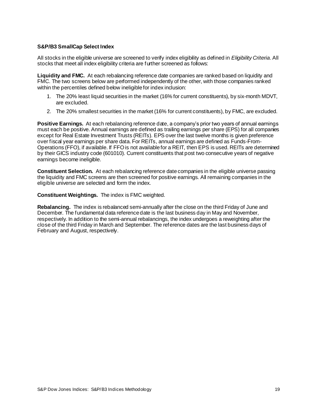### <span id="page-19-0"></span>**S&P/B3 SmallCap Select Index**

All stocks in the eligible universe are screened to verify index eligibility as defined in *Eligibility Criteria*. All stocks that meet all index eligibility criteria are further screened as follows:

**Liquidity and FMC.** At each rebalancing reference date companies are ranked based on liquidity and FMC. The two screens below are performed independently of the other, with those companies ranked within the percentiles defined below ineligible for index inclusion:

- 1. The 20% least liquid securities in the market (16% for current constituents), by six-month MDVT, are excluded.
- 2. The 20% smallest securities in the market (16% for current constituents), by FMC, are excluded.

**Positive Earnings.** At each rebalancing reference date, a company's prior two years of annual earnings must each be positive. Annual earnings are defined as trailing earnings per share (EPS) for all companies except for Real Estate Investment Trusts (REITs). EPS over the last twelve months is given preference over fiscal year earnings per share data. For REITs, annual earnings are defined as Funds-From-Operations (FFO), if available. If FFO is not available for a REIT, then EPS is used. REITs are determined by their GICS industry code (601010). Current constituents that post two consecutive years of negative earnings become ineligible.

**Constituent Selection.** At each rebalancing reference date companies in the eligible universe passing the liquidity and FMC screens are then screened for positive earnings. All remaining companies in the eligible universe are selected and form the index.

**Constituent Weightings.** The index is FMC weighted.

**Rebalancing.** The index is rebalanced semi-annually after the close on the third Friday of June and December. The fundamental data reference date is the last business day in May and November, respectively. In addition to the semi-annual rebalancings, the index undergoes a reweighting after the close of the third Friday in March and September. The reference dates are the last business days of February and August, respectively.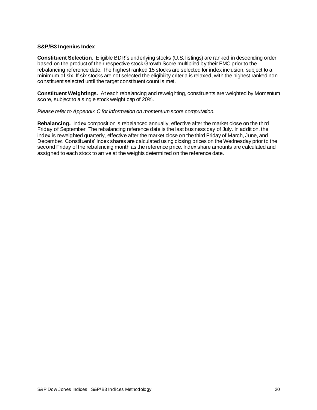### <span id="page-20-0"></span>**S&P/B3 Ingenius Index**

**Constituent Selection.** Eligible BDR´s underlying stocks (U.S. listings) are ranked in descending order based on the product of their respective stock Growth Score multiplied by their FMC prior to the rebalancing reference date. The highest ranked 15 stocks are selected for index inclusion, subject to a minimum of six. If six stocks are not selected the eligibility criteria is relaxed, with the highest ranked nonconstituent selected until the target constituent count is met.

**Constituent Weightings.** At each rebalancing and reweighting, constituents are weighted by Momentum score, subject to a single stock weight cap of 20%.

### *Please refer to Appendix C for information on momentum score computation.*

**Rebalancing.** Index composition is rebalanced annually, effective after the market close on the third Friday of September. The rebalancing reference date is the last business day of July. In addition, the index is reweighted quarterly, effective after the market close on the third Friday of March, June, and December. Constituents' index shares are calculated using closing prices on the Wednesday prior to the second Friday of the rebalancing month as the reference price. Index share amounts are calculated and assigned to each stock to arrive at the weights determined on the reference date.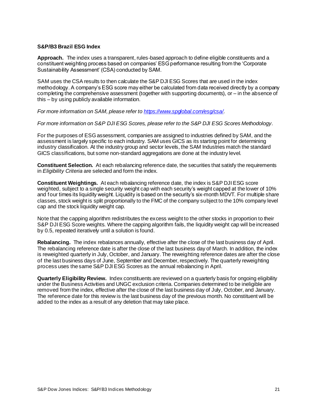### <span id="page-21-0"></span>**S&P/B3 Brazil ESG Index**

**Approach.** The index uses a transparent, rules-based approach to define eligible constituents and a constituent weighting process based on companies' ESG performance resulting from the 'Corporate Sustainability Assessment' (CSA) conducted by SAM.

SAM uses the CSA results to then calculate the S&P DJI ESG Scores that are used in the index methodology. A company's ESG score may either be calculated from data received directly by a company completing the comprehensive assessment (together with supporting documents), or – in the absence of this – by using publicly available information.

*For more information on SAM, please refer t[o https://www.spglobal.com/esg/csa/](https://www.spglobal.com/esg/csa/)*.

*For more information on S&P DJI ESG Scores, please refer to the S&P DJI ESG Scores Methodology*.

For the purposes of ESG assessment, companies are assigned to industries defined by SAM, and the assessment is largely specific to each industry. SAM uses GICS as its starting point for determining industry classification. At the industry group and sector levels, the SAM Industries match the standard GICS classifications, but some non-standard aggregations are done at the industry level.

**Constituent Selection.** At each rebalancing reference date, the securities that satisfy the requirements in *Eligibility Criteria* are selected and form the index.

**Constituent Weightings.** At each rebalancing reference date, the index is S&P DJI ESG score weighted, subject to a single security weight cap with each security's weight capped at the lower of 10% and four times its liquidity weight. Liquidity is based on the security's six-month MDVT. For multiple share classes, stock weight is split proportionally to the FMC of the company subject to the 10% company level cap and the stock liquidity weight cap.

Note that the capping algorithm redistributes the excess weight to the other stocks in proportion to their S&P DJI ESG Score weights. Where the capping algorithm fails, the liquidity weight cap will be increased by 0.5, repeated iteratively until a solution is found.

**Rebalancing.** The index rebalances annually, effective after the close of the last business day of April. The rebalancing reference date is after the close of the last business day of March. In addition, the index is reweighted quarterly in July, October, and January. The reweighting reference dates are after the close of the last business days of June, September and December, respectively. The quarterly reweighting process uses the same S&P DJI ESG Scores as the annual rebalancing in April.

**Quarterly Eligibility Review.** Index constituents are reviewed on a quarterly basis for ongoing eligibility under the Business Activities and UNGC exclusion criteria. Companies determined to be ineligible are removed from the index, effective after the close of the last business day of July, October, and January. The reference date for this review is the last business day of the previous month. No constituent will be added to the index as a result of any deletion that may take place.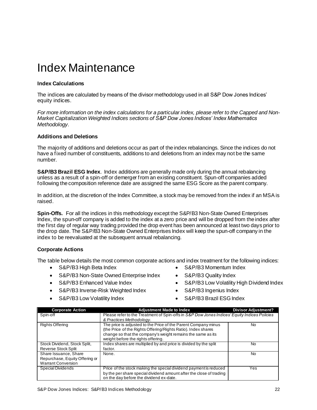### <span id="page-22-0"></span>Index Maintenance

### <span id="page-22-1"></span>**Index Calculations**

The indices are calculated by means of the divisor methodology used in all S&P Dow Jones Indices' equity indices.

*For more information on the index calculations for a particular index, please refer to the Capped and Non-Market Capitalization Weighted Indices sections of S&P Dow Jones Indices' Index Mathematics Methodology.*

### <span id="page-22-2"></span>**Additions and Deletions**

The majority of additions and deletions occur as part of the index rebalancings. Since the indices do not have a fixed number of constituents, additions to and deletions from an index may not be the same number.

**S&P/B3 Brazil ESG Index.** Index additions are generally made only during the annual rebalancing unless as a result of a spin-off or demerger from an existing constituent. Spun-off companies added following the composition reference date are assigned the same ESG Score as the parent company.

In addition, at the discretion of the Index Committee, a stock may be removed from the index if an MSA is raised.

**Spin-Offs.** For all the indices in this methodology except the S&P/B3 Non-State Owned Enterprises Index, the spun-off company is added to the index at a zero price and will be dropped from the index after the first day of regular way trading provided the drop event has been announced at least two days prior to the drop date. The S&P/B3 Non-State Owned Enterprises Index will keep the spun-off company in the index to be reevaluated at the subsequent annual rebalancing.

### <span id="page-22-3"></span>**Corporate Actions**

The table below details the most common corporate actions and index treatment for the following indices:

- 
- S&P/B3 Non-State Owned Enterprise Index S&P/B3 Quality Index
- 
- S&P/B3 Inverse-Risk Weighted Index S&P/B3 Ingenius Index
- 
- S&P/B3 High Beta Index S&P/B3 Momentum Index
	-
- S&P/B3 Enhanced Value Index S&P/B3 Low Volatility High Dividend Index
	-
	- S&P/B3 Low Volatility Index S&P/B3 Brazil ESG Index

| <b>Corporate Action</b>                                     | <b>Adjustment Made to Index</b>                                                                                                 | <b>Divisor Adjustment?</b> |
|-------------------------------------------------------------|---------------------------------------------------------------------------------------------------------------------------------|----------------------------|
| Spin-off                                                    | Please refer to the Treatment of Spin-offs in S&P Dow Jones Indices' Equity Indices Policies                                    |                            |
|                                                             | & Practices Methodology.                                                                                                        |                            |
| <b>Rights Offering</b>                                      | The price is adjusted to the Price of the Parent Company minus<br>(the Price of the Rights Offering/Rights Ratio). Index shares | No                         |
|                                                             | change so that the company's weight remains the same as its<br>weight before the rights offering.                               |                            |
| Stock Dividend, Stock Split,                                | Index shares are multiplied by and price is divided by the split                                                                | No                         |
| <b>Reverse Stock Split</b>                                  | factor.                                                                                                                         |                            |
| Share Issuance, Share                                       | None.                                                                                                                           | <b>No</b>                  |
| Repurchase, Equity Offering or<br><b>Warrant Conversion</b> |                                                                                                                                 |                            |
|                                                             |                                                                                                                                 |                            |
| Special Dividends                                           | Price of the stock making the special dividend payment is reduced                                                               | Yes                        |
|                                                             | by the per share special dividend amount after the close of trading                                                             |                            |
|                                                             | on the day before the dividend ex-date.                                                                                         |                            |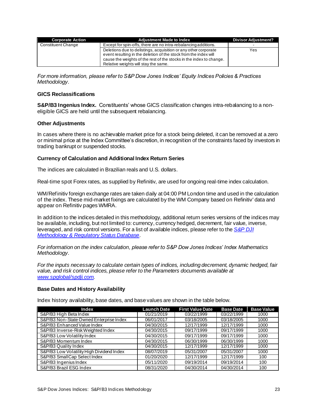| <b>Corporate Action</b>   | <b>Adjustment Made to Index</b>                                                                                                                                                                                                                    | <b>Divisor Adjustment?</b> |
|---------------------------|----------------------------------------------------------------------------------------------------------------------------------------------------------------------------------------------------------------------------------------------------|----------------------------|
| <b>Constituent Change</b> | Except for spin-offs, there are no intra-rebalancing additions.                                                                                                                                                                                    |                            |
|                           | Deletions due to delistings, acquisition or any other corporate<br>event resulting in the deletion of the stock from the index will<br>cause the weights of the rest of the stocks in the index to change.<br>Relative weights will stay the same. | Yes                        |

*For more information, please refer to S&P Dow Jones Indices' Equity Indices Policies & Practices Methodology.*

### <span id="page-23-0"></span>**GICS Reclassifications**

**S&P/B3 Ingenius Index.** Constituents' whose GICS classification changes intra-rebalancing to a noneligible GICS are held until the subsequent rebalancing.

### <span id="page-23-1"></span>**Other Adjustments**

In cases where there is no achievable market price for a stock being deleted, it can be removed at a zero or minimal price at the Index Committee's discretion, in recognition of the constraints faced by investors in trading bankrupt or suspended stocks.

### <span id="page-23-2"></span>**Currency of Calculation and Additional Index Return Series**

The indices are calculated in Brazilian reals and U.S. dollars.

Real-time spot Forex rates, as supplied by Refinitiv, are used for ongoing real-time index calculation.

WM/Refinitiv foreign exchange rates are taken daily at 04:00 PM London time and used in the calculation of the index. These mid-market fixings are calculated by the WM Company based on Refinitiv' data and appear on Refinitiv pages WMRA.

In addition to the indices detailed in this methodology, additional return series versions of the indices may be available, including, but not limited to: currency, currency hedged, decrement, fair value, inverse, leveraged, and risk control versions. For a list of available indices, please refer to the *[S&P DJI](https://www.spglobal.com/spdji/en/governance/methodology-and-regulatory-status/)  [Methodology & Regulatory Status Database](https://www.spglobal.com/spdji/en/governance/methodology-and-regulatory-status/)*.

*For information on the index calculation, please refer to S&P Dow Jones Indices' Index Mathematics Methodology.*

*For the inputs necessary to calculate certain types of indices, including decrement, dynamic hedged, fair value, and risk control indices, please refer to the Parameters documents available at [www.spglobal/spdji.com](http://www.spdji.com/).*

### <span id="page-23-3"></span>**Base Dates and History Availability**

Index history availability, base dates, and base values are shown in the table below.

| <b>Index</b>                              | <b>Launch Date</b> | <b>First Value Date</b> | <b>Base Date</b>         | <b>Base Value</b> |
|-------------------------------------------|--------------------|-------------------------|--------------------------|-------------------|
| S&P/B3 High Beta Index                    | 01/21/2019         | 03/22/1999              | 03/22/1999               | 1000              |
| S&P/B3 Non-State Owned Enterprise Index   | 06/01/2017         | 03/18/2005              | 03/18/2005               | 1000              |
| S&P/B3 Enhanced Value Index               | 04/30/2015         | 12/17/1999              | 12/17/1999               | 1000              |
| S&P/B3 Inverse-Risk Weighted Index        | 04/30/2015         | 09/17/1999              | 09/17/1999               | 1000              |
| S&P/B3 Low Volatility Index               | 04/30/2015         | 09/17/1999              | 09/17/1999               | 1000              |
| S&P/B3 Momentum Index                     | 04/30/2015         | 06/30/1999              | 06/30/1999               | 1000              |
| S&P/B3 Quality Index                      | 04/30/2015         | 12/17/1999              | 12/17/1999               | 1000              |
| S&P/B3 Low Volatility High Dividend Index | 08/07/2019         | 05/31/2007              | 05/31/2007               | 1000              |
| S&P/B3 SmallCap Select Index              | 01/20/2020         | 12/17/1999              | $\frac{12}{12}$ /17/1999 | 100               |
| S&P/B3 Ingenius Index                     | 05/11/2020         | 09/19/2014              | 09/19/2014               | 100               |
| S&P/B3 Brazil ESG Index                   | 08/31/2020         | 04/30/2014              | 04/30/2014               | 100               |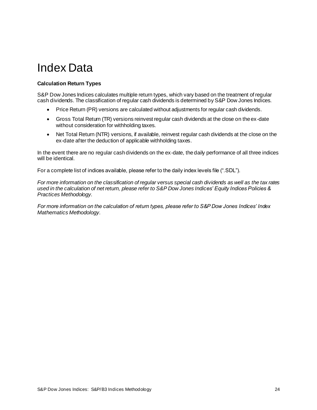### <span id="page-24-0"></span>Index Data

### <span id="page-24-1"></span>**Calculation Return Types**

S&P Dow Jones Indices calculates multiple return types, which vary based on the treatment of regular cash dividends. The classification of regular cash dividends is determined by S&P Dow Jones Indices.

- Price Return (PR) versions are calculated without adjustments for regular cash dividends.
- Gross Total Return (TR) versions reinvest regular cash dividends at the close on the ex-date without consideration for withholding taxes.
- Net Total Return (NTR) versions, if available, reinvest regular cash dividends at the close on the ex-date after the deduction of applicable withholding taxes.

In the event there are no regular cash dividends on the ex-date, the daily performance of all three indices will be identical.

For a complete list of indices available, please refer to the daily index levels file (".SDL").

*For more information on the classification of regular versus special cash dividends as well as the tax rates used in the calculation of net return, please refer to S&P Dow Jones Indices' Equity Indices Policies & Practices Methodology*.

*For more information on the calculation of return types, please refer to S&P Dow Jones Indices' Index Mathematics Methodology*.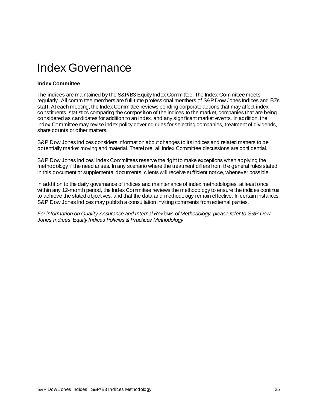# <span id="page-25-0"></span>Index Governance

### <span id="page-25-1"></span>**Index Committee**

The indices are maintained by the S&P/B3 Equity Index Committee. The Index Committee meets regularly. All committee members are full-time professional members of S&P Dow Jones Indices and B3's staff. At each meeting, the Index Committee reviews pending corporate actions that may affect index constituents, statistics comparing the composition of the indices to the market, companies that are being considered as candidates for addition to an index, and any significant market events. In addition, the Index Committee may revise index policy covering rules for selecting companies, treatment of dividends, share counts or other matters.

S&P Dow Jones Indices considers information about changes to its indices and related matters to be potentially market moving and material. Therefore, all Index Committee discussions are confidential.

S&P Dow Jones Indices' Index Committees reserve the right to make exceptions when applying the methodology if the need arises. In any scenario where the treatment differs from the general rules stated in this document or supplemental documents, clients will receive sufficient notice, whenever possible.

In addition to the daily governance of indices and maintenance of index methodologies, at least once within any 12-month period, the Index Committee reviews the methodology to ensure the indices continue to achieve the stated objectives, and that the data and methodology remain effective. In certain instances, S&P Dow Jones Indices may publish a consultation inviting comments from external parties.

*For information on Quality Assurance and Internal Reviews of Methodology, please refer to S&P Dow Jones Indices' Equity Indices Policies & Practices Methodology*.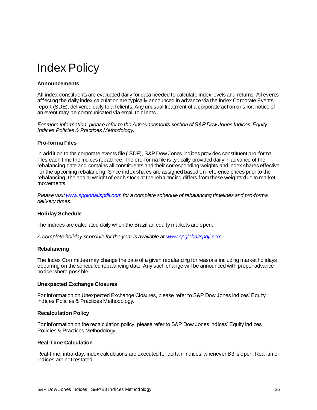# <span id="page-26-0"></span>Index Policy

### <span id="page-26-1"></span>**Announcements**

All index constituents are evaluated daily for data needed to calculate index levels and returns. All events affecting the daily index calculation are typically announced in advance via the Index Corporate Events report (SDE), delivered daily to all clients. Any unusual treatment of a corporate action or short notice of an event may be communicated via email to clients.

*For more information, please refer to the Announcements section of S&P Dow Jones Indices' Equity Indices Policies & Practices Methodology.*

### <span id="page-26-2"></span>**Pro-forma Files**

In addition to the corporate events file (.SDE), S&P Dow Jones Indices provides constituent pro-forma files each time the indices rebalance. The pro-forma file is typically provided daily in advance of the rebalancing date and contains all constituents and their corresponding weights and index shares effective for the upcoming rebalancing. Since index shares are assigned based on reference prices prior to the rebalancing, the actual weight of each stock at the rebalancing differs from these weights due to market movements.

*Please visi[t www.spglobal/spdji.com](http://www.spdji.com/) for a complete schedule of rebalancing timelines and pro-forma delivery times.*

### <span id="page-26-3"></span>**Holiday Schedule**

The indices are calculated daily when the Brazilian equity markets are open.

<span id="page-26-4"></span>*A complete holiday schedule for the year is available a[t www.spglobal/spdji.com](http://www.spdji.com/).* 

### **Rebalancing**

The Index Committee may change the date of a given rebalancing for reasons including market holidays occurring on the scheduled rebalancing date. Any such change will be announced with proper advance notice where possible.

### <span id="page-26-5"></span>**Unexpected Exchange Closures**

For information on Unexpected Exchange Closures, please refer to S&P Dow Jones Indices' Equity Indices Policies & Practices Methodology*.*

### <span id="page-26-6"></span>**Recalculation Policy**

For information on the recalculation policy, please refer to S&P Dow Jones Indices' Equity Indices Policies & Practices Methodology.

### <span id="page-26-7"></span>**Real-Time Calculation**

Real-time, intra-day, index calculations are executed for certain indices, whenever B3 is open. Real-time indices are not restated.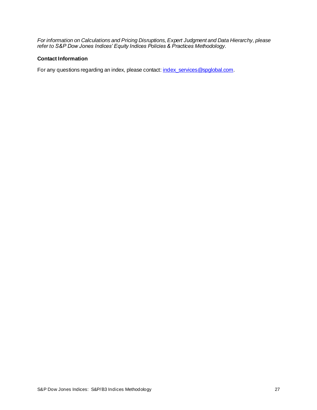*For information on Calculations and Pricing Disruptions, Expert Judgment and Data Hierarchy, please refer to S&P Dow Jones Indices' Equity Indices Policies & Practices Methodology*.

### <span id="page-27-0"></span>**Contact Information**

For any questions regarding an index, please contact[: index\\_services@spglobal.com](mailto:index_services@spglobal.com).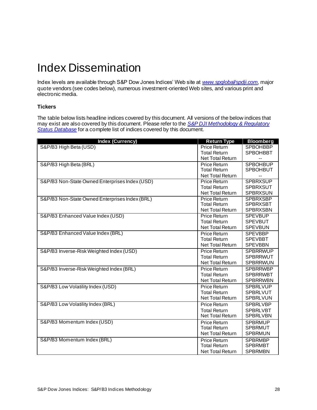### <span id="page-28-0"></span>Index Dissemination

Index levels are available through S&P Dow Jones Indices' Web site at *[www.spglobal/spdji.com](http://www.spdji.com/),* major quote vendors (see codes below), numerous investment-oriented Web sites, and various print and electronic media.

### <span id="page-28-1"></span>**Tickers**

The table below lists headline indices covered by this document. All versions of the below indices that may exist are also covered by this document. Please refer to the *[S&P DJI Methodology & Regulatory](https://www.spglobal.com/spdji/en/governance/methodology-and-regulatory-status/)  [Status Database](https://www.spglobal.com/spdji/en/governance/methodology-and-regulatory-status/)* for a complete list of indices covered by this document.

| <b>Index (Currency)</b>                        | <b>Return Type</b>      | <b>Bloomberg</b> |
|------------------------------------------------|-------------------------|------------------|
| S&P/B3 High Beta (USD)                         | Price Return            | <b>SPBOHBBP</b>  |
|                                                | <b>Total Return</b>     | <b>SPBOHBBT</b>  |
|                                                | <b>Net Total Return</b> |                  |
| S&P/B3 High Beta (BRL)                         | <b>Price Return</b>     | <b>SPBOHBUP</b>  |
|                                                | <b>Total Return</b>     | <b>SPBOHBUT</b>  |
|                                                | <b>Net Total Return</b> |                  |
| S&P/B3 Non-State Owned Enterprises Index (USD) | <b>Price Return</b>     | <b>SPBRXSUP</b>  |
|                                                | <b>Total Return</b>     | <b>SPBRXSUT</b>  |
|                                                | <b>Net Total Return</b> | <b>SPBRXSUN</b>  |
| S&P/B3 Non-State Owned Enterprises Index (BRL) | <b>Price Return</b>     | <b>SPBRXSBP</b>  |
|                                                | <b>Total Return</b>     | <b>SPBRXSBT</b>  |
|                                                | <b>Net Total Return</b> | <b>SPBRXSBN</b>  |
| S&P/B3 Enhanced Value Index (USD)              | <b>Price Return</b>     | <b>SPEVBUP</b>   |
|                                                | <b>Total Return</b>     | <b>SPEVBUT</b>   |
|                                                | <b>Net Total Return</b> | <b>SPEVBUN</b>   |
| S&P/B3 Enhanced Value Index (BRL)              | <b>Price Return</b>     | <b>SPEVBBP</b>   |
|                                                | <b>Total Return</b>     | <b>SPEVBBT</b>   |
|                                                | <b>Net Total Return</b> | <b>SPEVBBN</b>   |
| S&P/B3 Inverse-Risk Weighted Index (USD)       | <b>Price Return</b>     | <b>SPBRRWUP</b>  |
|                                                | <b>Total Return</b>     | <b>SPBRRWUT</b>  |
|                                                | <b>Net Total Return</b> | <b>SPBRRWUN</b>  |
| S&P/B3 Inverse-Risk Weighted Index (BRL)       | <b>Price Return</b>     | <b>SPBRRWBP</b>  |
|                                                | <b>Total Return</b>     | <b>SPBRRWBT</b>  |
|                                                | <b>Net Total Return</b> | <b>SPBRRWBN</b>  |
| S&P/B3 Low Volatility Index (USD)              | Price Return            | <b>SPBRLVUP</b>  |
|                                                | <b>Total Return</b>     | <b>SPBRLVUT</b>  |
|                                                | <b>Net Total Return</b> | <b>SPBRLVUN</b>  |
| S&P/B3 Low Volatility Index (BRL)              | <b>Price Return</b>     | <b>SPBRLVBP</b>  |
|                                                | <b>Total Return</b>     | <b>SPBRLVBT</b>  |
|                                                | <b>Net Total Return</b> | <b>SPBRLVBN</b>  |
| S&P/B3 Momentum Index (USD)                    | <b>Price Return</b>     | <b>SPBRMUP</b>   |
|                                                | <b>Total Return</b>     | <b>SPBRMUT</b>   |
|                                                | <b>Net Total Return</b> | <b>SPBRMUN</b>   |
| S&P/B3 Momentum Index (BRL)                    | <b>Price Return</b>     | <b>SPBRMBP</b>   |
|                                                | <b>Total Return</b>     | <b>SPBRMBT</b>   |
|                                                | <b>Net Total Return</b> | <b>SPBRMBN</b>   |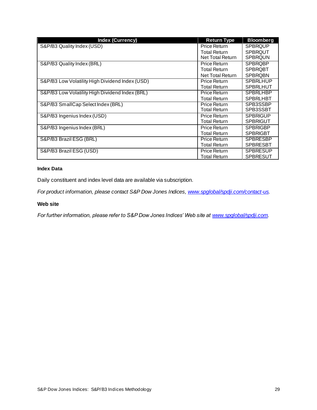| <b>Index (Currency)</b>                         | <b>Return Type</b>      | <b>Bloomberg</b> |
|-------------------------------------------------|-------------------------|------------------|
| S&P/B3 Quality Index (USD)                      | Price Return            | <b>SPBRQUP</b>   |
|                                                 | <b>Total Return</b>     | SPBRQUT          |
|                                                 | Net Total Return        | <b>SPBRQUN</b>   |
| S&P/B3 Quality Index (BRL)                      | Price Return            | <b>SPBRQBP</b>   |
|                                                 | <b>Total Return</b>     | <b>SPBROBT</b>   |
|                                                 | <b>Net Total Return</b> | <b>SPBRQBN</b>   |
| S&P/B3 Low Volatility High Dividend Index (USD) | Price Return            | <b>SPBRLHUP</b>  |
|                                                 | <b>Total Return</b>     | <b>SPBRLHUT</b>  |
| S&P/B3 Low Volatility High Dividend Index (BRL) | Price Return            | <b>SPBRLHBP</b>  |
|                                                 | <b>Total Return</b>     | <b>SPBRLHBT</b>  |
| S&P/B3 SmallCap Select Index (BRL)              | Price Return            | SPB3SSBP         |
|                                                 | <b>Total Return</b>     | SPB3SSBT         |
| S&P/B3 Ingenius Index (USD)                     | Price Return            | <b>SPBRIGUP</b>  |
|                                                 | <b>Total Return</b>     | <b>SPBRIGUT</b>  |
| S&P/B3 Ingenius Index (BRL)                     | Price Return            | <b>SPBRIGBP</b>  |
|                                                 | Total Return            | <b>SPBRIGBT</b>  |
| S&P/B3 Brazil ESG (BRL)                         | Price Return            | <b>SPBRESBP</b>  |
|                                                 | <b>Total Return</b>     | <b>SPBRESBT</b>  |
| S&P/B3 Brazil ESG (USD)                         | Price Return            | <b>SPBRESUP</b>  |
|                                                 | <b>Total Return</b>     | <b>SPBRESUT</b>  |

### <span id="page-29-0"></span>**Index Data**

Daily constituent and index level data are available via subscription.

<span id="page-29-1"></span>*For product information, please contact S&P Dow Jones Indices[, www.spglobal/spdji.com/contact-us](http://www.spdji.com/contact-us).* 

#### **Web site**

*For further information, please refer to S&P Dow Jones Indices' Web site a[t www.spglobal/spdji.com](http://www.spdji.com/).*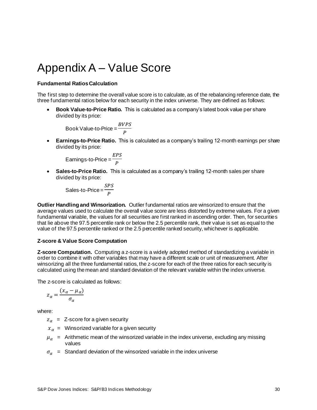### <span id="page-30-0"></span>Appendix A – Value Score

#### <span id="page-30-1"></span>**Fundamental Ratios Calculation**

The first step to determine the overall value score is to calculate, as of the rebalancing reference date, the three fundamental ratios below for each security in the index universe. They are defined as follows:

• **Book Value-to-Price Ratio.** This is calculated as a company's latest book value per share divided by its price:

Book Value-to-Price = 
$$
\frac{BVPS}{P}
$$

• **Earnings-to-Price Ratio.** This is calculated as a company's trailing 12-month earnings per share divided by its price:

$$
Earnings-to-Price = \frac{EPS}{P}
$$

• **Sales-to-Price Ratio.** This is calculated as a company's trailing 12-month sales per share divided by its price:

$$
Sales-to-Price = \frac{SPS}{P}
$$

**Outlier Handling and Winsorization.** Outlier fundamental ratios are winsorized to ensure that the average values used to calculate the overall value score are less distorted by extreme values. For a given fundamental variable, the values for all securities are first ranked in ascending order. Then, for securities that lie above the 97.5 percentile rank or below the 2.5 percentile rank, their value is set as equal to the value of the 97.5 percentile ranked or the 2.5 percentile ranked security, whichever is applicable.

#### <span id="page-30-2"></span>**Z-score & Value Score Computation**

**Z-score Computation.** Computing a z-score is a widely adopted method of standardizing a variable in order to combine it with other variables that may have a different scale or unit of measurement. After winsorizing all the three fundamental ratios, the z-score for each of the three ratios for each security is calculated using the mean and standard deviation of the relevant variable within the index universe.

The z-score is calculated as follows:

$$
z_{\alpha} = \frac{(x_{\alpha} - \mu_{\alpha})}{\sigma_{\alpha}}
$$

where:

 $z_{\alpha}$  = Z-score for a given security

 $x_{\alpha}$  = Winsorized variable for a given security

- $\mu_{\alpha}$  = Arithmetic mean of the winsorized variable in the index universe, excluding any missing values
- $\sigma_{\alpha}$  = Standard deviation of the winsorized variable in the index universe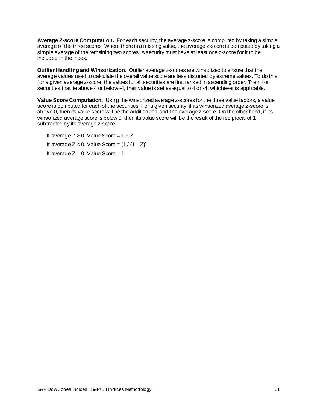**Average Z-score Computation.** For each security, the average z-score is computed by taking a simple average of the three scores. Where there is a missing value, the average z-score is computed by taking a simple average of the remaining two scores. A security must have at least one z-score for it to be included in the index.

**Outlier Handling and Winsorization.** Outlier average z-scores are winsorized to ensure that the average values used to calculate the overall value score are less distorted by extreme values. To do this, for a given average z-score, the values for all securities are first ranked in ascending order. Then, for securities that lie above 4 or below -4, their value is set as equal to 4 or -4, whichever is applicable.

**Value Score Computation.** Using the winsorized average z-scores for the three value factors, a value score is computed for each of the securities. For a given security, if its winsorized average z-score is above 0, then its value score will be the addition of 1 and the average z-score. On the other hand, if its winsorized average score is below 0, then its value score will be the result of the reciprocal of 1 subtracted by its average z-score.

If average  $Z > 0$ , Value Score =  $1 + Z$ If average  $Z < 0$ , Value Score =  $(1 / (1 – Z))$ If average  $Z = 0$ , Value Score = 1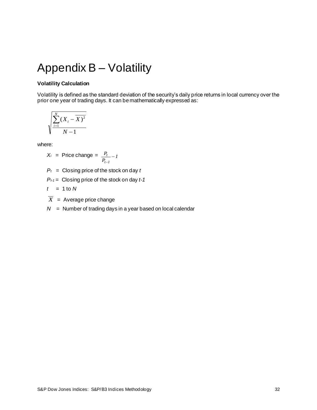### <span id="page-32-0"></span>Appendix B – Volatility

#### <span id="page-32-1"></span>**Volatility Calculation**

Volatility is defined as the standard deviation of the security's daily price returns in local currency over the prior one year of trading days. It can be mathematically expressed as:

$$
\sqrt{\frac{\sum_{i=1}^{N} (X_i - \overline{X})^2}{N-1}}
$$

where:

$$
X_i = \text{Price change} = \frac{P_t}{P_{t-1}} - I
$$

- *Pt* = Closing price of the stock on day *t*
- *Pt-1* = Closing price of the stock on day *t-1*

$$
t = 1 \text{ to } N
$$

- $\overline{X}$  = Average price change
- $N =$  Number of trading days in a year based on local calendar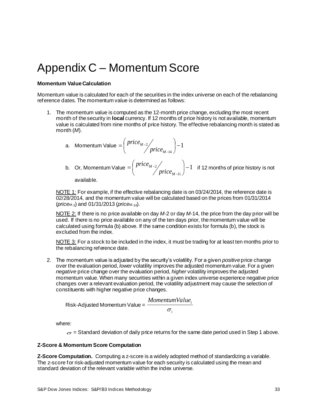### <span id="page-33-0"></span>Appendix C – Momentum Score

### <span id="page-33-1"></span>**Momentum Value Calculation**

Momentum value is calculated for each of the securities in the index universe on each of the rebalancing reference dates. The momentum value is determined as follows:

1. The momentum value is computed as the 12-month price change, excluding the most recent month of the security in **local** currency. If 12 months of price history is not available, momentum value is calculated from nine months of price history. The effective rebalancing month is stated as month (*M*).

a. Momentum Value = 
$$
\left(\frac{price_{M-2}}{price_{M-14}}\right) - 1
$$

b. Or, Momentum Value  $=$   $\begin{array}{ccc} P^{IICE}M-2/ & . & -1 \end{array}$ 11  $\frac{2}{\sqrt{2}}$  – J  $\setminus$  $\mathsf{I}$  $\setminus$  $=$  $($ − − *M M price*  $\ket{price_{M-2}}_{\cdot}$  ,  $\left.\vphantom{\int} \right.\left.\vphantom{\int}\right|-1\;\;$  if 12 months of price history is not

available.

NOTE 1: For example, if the effective rebalancing date is on 03/24/2014, the reference date is 02/28/2014, and the momentum value will be calculated based on the prices from 01/31/2014 (*price<sup>M</sup>*-2) and 01/31/2013 (*price<sup>M</sup>*-14).

NOTE 2: If there is no price available on day *M*-2 or day *M*-14, the price from the day prior will be used. If there is no price available on any of the ten days prior, the momentum value will be calculated using formula (b) above. If the same condition exists for formula (b), the stock is excluded from the index.

NOTE 3: For a stock to be included in the index, it must be trading for at least ten months prior to the rebalancing reference date.

2. The momentum value is adjusted by the security's volatility. For a given *positive* price change over the evaluation period, *lower* volatility improves the adjusted momentum value. For a given *negative* price change over the evaluation period, *higher* volatility improves the adjusted momentum value. When many securities within a given index universe experience negative price changes over a relevant evaluation period, the volatility adjustment may cause the selection of constituents with higher negative price changes.

Risk-Adjusted Momentum Value = 
$$
\frac{MomentumValue_i}{\sigma_i}
$$

where:

 $\sigma$  = Standard deviation of daily price returns for the same date period used in Step 1 above.

### <span id="page-33-2"></span>**Z-Score & Momentum Score Computation**

**Z-Score Computation.** Computing a z-score is a widely adopted method of standardizing a variable. The z-score for risk-adjusted momentum value for each security is calculated using the mean and standard deviation of the relevant variable within the index universe.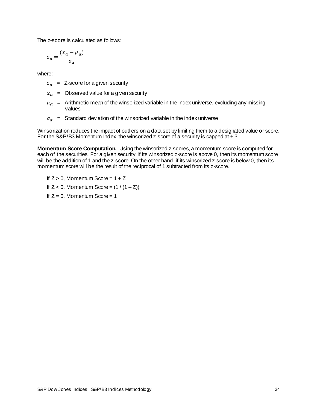The z-score is calculated as follows:

$$
z_{\alpha} = \frac{(x_{\alpha} - \mu_{\alpha})}{\sigma_{\alpha}}
$$

where:

 $z_{\alpha}$  = Z-score for a given security

- $x_{\alpha}$  = Observed value for a given security
- $\mu_{\alpha}$  = Arithmetic mean of the winsorized variable in the index universe, excluding any missing values
- $\sigma_{\alpha}$  = Standard deviation of the winsorized variable in the index universe

Winsorization reduces the impact of outliers on a data set by limiting them to a designated value or score. For the S&P/B3 Momentum Index, the winsorized z-score of a security is capped at  $\pm 3$ .

**Momentum Score Computation.** Using the winsorized z-scores, a momentum score is computed for each of the securities. For a given security, if its winsorized z-score is above 0, then its momentum score will be the addition of 1 and the z-score. On the other hand, if its winsorized z-score is below 0, then its momentum score will be the result of the reciprocal of 1 subtracted from its z-score.

If  $Z > 0$ , Momentum Score =  $1 + Z$ 

- If  $Z < 0$ , Momentum Score =  $(1 / (1 Z))$
- If  $Z = 0$ , Momentum Score = 1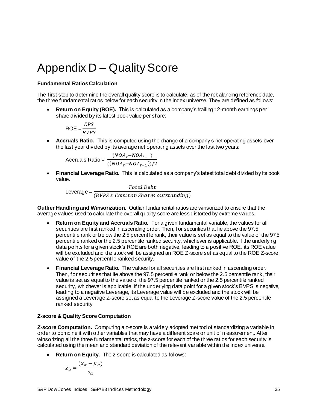### <span id="page-35-0"></span>Appendix D – Quality Score

### <span id="page-35-1"></span>**Fundamental Ratios Calculation**

The first step to determine the overall quality score is to calculate, as of the rebalancing reference date, the three fundamental ratios below for each security in the index universe. They are defined as follows:

• **Return on Equity (ROE).** This is calculated as a company's trailing 12-month earnings per share divided by its latest book value per share:

$$
ROE = \frac{EPS}{BVPS}
$$

• **Accruals Ratio.** This is computed using the change of a company's net operating assets over the last year divided by its average net operating assets over the last two years:

$$
\text{Accruals Ratio} = \frac{(NOA_t - NOA_{t-1})}{((NOA_t + NOA_{t-1}))/2}
$$

• **Financial Leverage Ratio.** This is calculated as a company's latest total debt divided by its book value.

Leverage =  $\frac{1}{(BVPS x \text{ Common Shares outstanding})}$ Total Debt

**Outlier Handling and Winsorization.** Outlier fundamental ratios are winsorized to ensure that the average values used to calculate the overall quality score are less distorted by extreme values.

- **Return on Equity and Accruals Ratio.** For a given fundamental variable, the values for all securities are first ranked in ascending order. Then, for securities that lie above the 97.5 percentile rank or below the 2.5 percentile rank, their value is set as equal to the value of the 97.5 percentile ranked or the 2.5 percentile ranked security, whichever is applicable. If the underlying data points for a given stock's ROE are both negative, leading to a positive ROE, its ROE value will be excluded and the stock will be assigned an ROE Z-score set as equal to the ROE Z-score value of the 2.5 percentile ranked security.
- **Financial Leverage Ratio.** The values for all securities are first ranked in ascending order. Then, for securities that lie above the 97.5 percentile rank or below the 2.5 percentile rank, their value is set as equal to the value of the 97.5 percentile ranked or the 2.5 percentile ranked security, whichever is applicable. If the underlying data point for a given stock's BVPS is negative, leading to a negative Leverage, its Leverage value will be excluded and the stock will be assigned a Leverage Z-score set as equal to the Leverage Z-score value of the 2.5 percentile ranked security

### <span id="page-35-2"></span>**Z-score & Quality Score Computation**

**Z-score Computation.** Computing a z-score is a widely adopted method of standardizing a variable in order to combine it with other variables that may have a different scale or unit of measurement. After winsorizing all the three fundamental ratios, the z-score for each of the three ratios for each security is calculated using the mean and standard deviation of the relevant variable within the index universe.

• **Return on Equity.** The z-score is calculated as follows:

$$
z_{\alpha} = \frac{(x_{\alpha} - \mu_{\alpha})}{\sigma_{\alpha}}
$$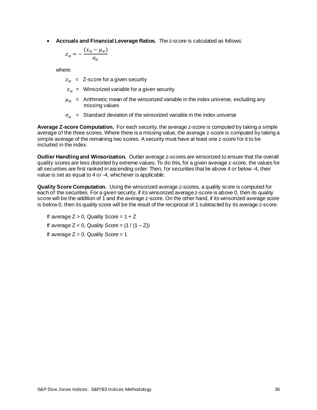• **Accruals and Financial Leverage Ratios.** The z-score is calculated as follows:

$$
z_{\alpha} = -\frac{(x_{\alpha} - \mu_{\alpha})}{\sigma_{\alpha}}
$$

where:

 $z_{\alpha}$  = Z-score for a given security

 $x_{\alpha}$  = Winsorized variable for a given security

- $\mu_{\alpha}$  = Arithmetic mean of the winsorized variable in the index universe, excluding any missing values
- $\sigma_{\alpha}$  = Standard deviation of the winsorized variable in the index universe

**Average Z-score Computation.** For each security, the average z-score is computed by taking a simple average of the three scores. Where there is a missing value, the average z-score is computed by taking a simple average of the remaining two scores. A security must have at least one z-score for it to be included in the index.

**Outlier Handling and Winsorization.** Outlier average z-scores are winsorized to ensure that the overall quality scores are less distorted by extreme values. To do this, for a given average z-score, the values for all securities are first ranked in ascending order. Then, for securities that lie above 4 or below -4, their value is set as equal to 4 or -4, whichever is applicable.

**Quality Score Computation.** Using the winsorized average z-scores, a quality score is computed for each of the securities. For a given security, if its winsorized average z-score is above 0, then its quality score will be the addition of 1 and the average z-score. On the other hand, if its winsorized average score is below 0, then its quality score will be the result of the reciprocal of 1 subtracted by its average z-score.

If average  $Z > 0$ , Quality Score =  $1 + Z$ If average  $Z < 0$ , Quality Score =  $(1 / (1 - Z))$ If average  $Z = 0$ , Quality Score = 1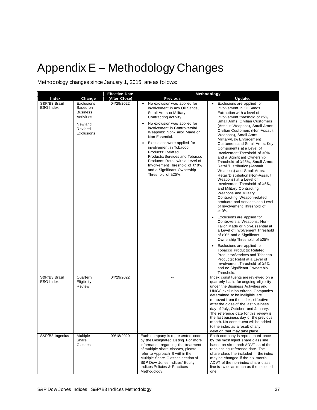# <span id="page-37-0"></span>Appendix E – Methodology Changes

Methodology changes since January 1, 2015, are as follows:

|                                   |                                                                                                     | <b>Effective Date</b> | Methodology                                                                                                                                                                                                                                                                                                                                                                                                                                                                |                                                                                                                                                                                                                                                                                                                                                                                                                                                                                                                                                                                                                                                                                                                                                                                                                                                                                                                                                                                                                                                                                                                                                                                                                                                        |  |
|-----------------------------------|-----------------------------------------------------------------------------------------------------|-----------------------|----------------------------------------------------------------------------------------------------------------------------------------------------------------------------------------------------------------------------------------------------------------------------------------------------------------------------------------------------------------------------------------------------------------------------------------------------------------------------|--------------------------------------------------------------------------------------------------------------------------------------------------------------------------------------------------------------------------------------------------------------------------------------------------------------------------------------------------------------------------------------------------------------------------------------------------------------------------------------------------------------------------------------------------------------------------------------------------------------------------------------------------------------------------------------------------------------------------------------------------------------------------------------------------------------------------------------------------------------------------------------------------------------------------------------------------------------------------------------------------------------------------------------------------------------------------------------------------------------------------------------------------------------------------------------------------------------------------------------------------------|--|
| Index                             | Change                                                                                              | (After Close)         | <b>Previous</b>                                                                                                                                                                                                                                                                                                                                                                                                                                                            | Updated                                                                                                                                                                                                                                                                                                                                                                                                                                                                                                                                                                                                                                                                                                                                                                                                                                                                                                                                                                                                                                                                                                                                                                                                                                                |  |
| S&P/B3 Brazil<br><b>ESG Index</b> | <b>Exclusions</b><br>Based on<br><b>Business</b><br>Activities:<br>New and<br>Revised<br>Exclusions | 04/29/2022            | No exclusion was applied for<br>involvement in any Oil Sands,<br>Small Arms or Military<br>Contracting activity.<br>No exclusion was applied for<br>involvement in Controversial<br>Weapons: Non-Tailor Made or<br>Non-Essential.<br>Exclusions were applied for<br>involvement in Tobacco<br>Products: Related<br>Products/Services and Tobacco<br>Products: Retail with a Level of<br>Involvement Threshold of ≥10%<br>and a Significant Ownership<br>Threshold of ≥25%. | Exclusions are applied for<br>$\bullet$<br>involvement in Oil Sands<br>Extraction with a level of<br>involvement threshold of ≥5%,<br>Small Arms: Civilian Customers<br>(Assault Weapons), Small Arms:<br>Civilian Customers (Non-Assault<br>Weapons), Small Arms:<br>Military/Law Enforcement<br>Customers and Small Arms: Key<br>Components at a Level of<br>Involvement Threshold of >0%<br>and a Significant Ownership<br>Threshold of ≥25%, Small Arms:<br><b>Retail/Distribution (Assault</b><br>Weapons) and Small Arms:<br>Retail/Distribution (Non-Assault<br>Weapons) at a Level of<br>Involvement Threshold of ≥5%,<br>and Military Contracting:<br><b>Weapons and Military</b><br>Contracting: Weapon-related<br>products and services at a Level<br>of Involvement Threshold of<br>$≥10\%$ .<br>Exclusions are applied for<br>$\bullet$<br>Controversial Weapons: Non-<br>Tailor Made or Non-Essential at<br>a Level of Involvement Threshold<br>of >0% and a Significant<br>Ownership Threshold of ≥25%.<br>Exclusions are applied for<br>$\bullet$<br><b>Tobacco Products: Related</b><br>Products/Services and Tobacco<br>Products: Retail at a Level of<br>Involvement Threshold of ≥5%<br>and no Significant Ownership<br>Threshold. |  |
| S&P/B3 Brazil<br><b>ESG Index</b> | Quarterly<br>Eligibility<br>Review                                                                  | 04/29/2022            | $\overline{a}$                                                                                                                                                                                                                                                                                                                                                                                                                                                             | Index constituents are reviewed on a<br>quarterly basis for ongoing eligibility<br>under the Business Activities and<br><b>UNGC</b> exclusion criteria. Companies<br>determined to be ineligible are<br>removed from the index, effective<br>after the close of the last business<br>day of July, October, and January.<br>The reference date for this review is<br>the last business day of the previous<br>month. No constituent will be added<br>to the index as a result of any<br>deletion that may take place.                                                                                                                                                                                                                                                                                                                                                                                                                                                                                                                                                                                                                                                                                                                                   |  |
| S&P/B3 Ingenius                   | Multiple<br>Share<br>Classes                                                                        | 09/18/2020            | Each company is represented once<br>by the Designated Listing. For more<br>information regarding the treatment<br>of multiple share classes, please<br>refer to Approach B within the<br>Multiple Share Classes section of<br>S&P Dow Jones Indices' Equity<br><b>Indices Policies &amp; Practices</b><br>Methodology.                                                                                                                                                     | Each company is represented once<br>by the most liquid share class line<br>based on six-month ADVT as of the<br>rebalancing reference date. The<br>share class line included in the index<br>may be changed if the six-month<br>ADVT of the non-index share class<br>line is twice as much as the included<br>one.                                                                                                                                                                                                                                                                                                                                                                                                                                                                                                                                                                                                                                                                                                                                                                                                                                                                                                                                     |  |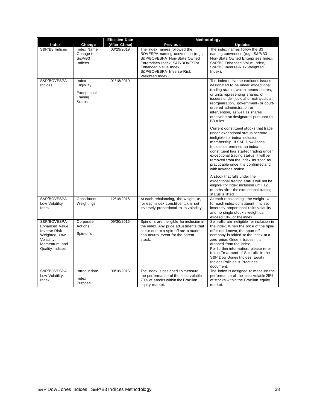|                                                                                                                           |                                                                  | <b>Effective Date</b> | Methodology                                                                                                                                                                                                |                                                                                                                                                                                                                                                                                                                                                                                                                                                                                                                                                                                                                                                                                                                                              |  |
|---------------------------------------------------------------------------------------------------------------------------|------------------------------------------------------------------|-----------------------|------------------------------------------------------------------------------------------------------------------------------------------------------------------------------------------------------------|----------------------------------------------------------------------------------------------------------------------------------------------------------------------------------------------------------------------------------------------------------------------------------------------------------------------------------------------------------------------------------------------------------------------------------------------------------------------------------------------------------------------------------------------------------------------------------------------------------------------------------------------------------------------------------------------------------------------------------------------|--|
| Index                                                                                                                     | Change                                                           | (After Close)         | <b>Previous</b>                                                                                                                                                                                            | <b>Updated</b>                                                                                                                                                                                                                                                                                                                                                                                                                                                                                                                                                                                                                                                                                                                               |  |
| S&P/B3 Indices                                                                                                            | <b>Index Name</b><br>Change to<br>S&P/B3<br>Indices              | 03/29/2019            | The index names followed the<br>BOVESPA naming convention (e.g.,<br>S&P/BOVESPA Non-State Owned<br>Enterprises Index, S&P/BOVESPA<br>Enhanced Value Index,<br>S&P/BOVESPA Inverse-Risk<br>Weighted Index). | The index names follow the B3<br>naming convention (e.g., S&P/B3<br>Non-State Owned Enterprises Index,<br>S&P/B3 Enhanced Value Index.<br>S&P/B3 Inverse-Risk Weighted<br>Index).                                                                                                                                                                                                                                                                                                                                                                                                                                                                                                                                                            |  |
| S&P/BOVESPA<br>Indices                                                                                                    | Index<br>Eligibility:<br>Exceptional<br>Trading<br><b>Status</b> | 01/18/2019            |                                                                                                                                                                                                            | The index universe excludes issues<br>designated to be under exceptional<br>trading status, which means shares,<br>or units representing shares, of<br>issuers under judicial or extrajudicial<br>reorganization, government- or court-<br>ordered administration or<br>intervention, as well as shares<br>otherwise so designated pursuant to<br>B <sub>3</sub> rules.<br>Current constituent stocks that trade<br>under exceptional status become<br>ineligible for index inclusion<br>membership. If S&P Dow Jones<br>Indices determines an index<br>constituent has started trading under<br>exceptional trading status, it will be<br>removed from the index as soon as<br>practicable once it is confirmed and<br>with advance notice. |  |
|                                                                                                                           |                                                                  |                       |                                                                                                                                                                                                            | A stock that falls under the<br>exceptional trading status will not be<br>eligible for index inclusion until 12<br>months after the exceptional trading<br>status is lifted.                                                                                                                                                                                                                                                                                                                                                                                                                                                                                                                                                                 |  |
| S&P/BOVESPA<br>Low Volatility<br>Index                                                                                    | Constituent<br>Weightings                                        | 12/18/2015            | At each rebalancing, the weight, w,<br>for each index constituent, <i>i</i> , is set<br>inversely proportional to its volatility.                                                                          | At each rebalancing, the weight, w,<br>for each index constituent, <i>i</i> , is set<br>inversely proportional to its volatility<br>and no single stock's weight can<br>exceed 10% of the index.                                                                                                                                                                                                                                                                                                                                                                                                                                                                                                                                             |  |
| S&P/BOVESPA<br>Enhanced Value,<br>Inverse-Risk<br>Weighted, Low<br>Volatility,<br>Momentum, and<br><b>Quality Indices</b> | Corporate<br>Actions:<br>Spin-offs                               | 09/30/2015            | Spin-offs are ineligible for inclusion in<br>the index. Any price adjustments that<br>occur due to a spin-off are a market<br>cap neutral event for the parent<br>stock.                                   | Spin-offs are ineligible for inclusion in<br>the index. When the price of the spin-<br>off is not known, the spun-off<br>company is added to the index at a<br>zero price. Once it trades, it is<br>dropped from the index.<br>For further information, please refer<br>to the Treatment of Spin-offs in the<br>S&P Dow Jones Indices' Equity<br><b>Indices Policies &amp; Practices</b><br>document.                                                                                                                                                                                                                                                                                                                                        |  |
| S&P/BOVESPA<br>Low Volatility<br>Index                                                                                    | Introduction:<br>Index<br>Purpose                                | 09/18/2015            | The index is designed to measure<br>the performance of the least volatile<br>20% of stocks within the Brazilian<br>equity market.                                                                          | The index is designed to measure the<br>performance of the least volatile 25%<br>of stocks within the Brazilian equity<br>market.                                                                                                                                                                                                                                                                                                                                                                                                                                                                                                                                                                                                            |  |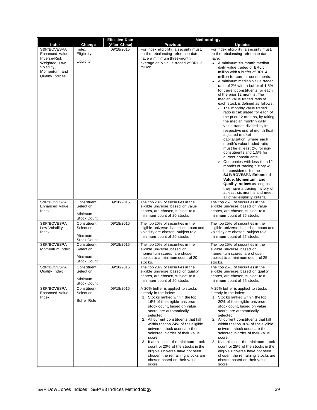|                                                                                                                           |                                                            | <b>Effective Date</b> | Methodology                                                                                                                                                                                                                                                                                                                                                                                                                                                                                                                                                       |                                                                                                                                                                                                                                                                                                                                                                                                                                                                                                                                                                                                                                                                                                                                                                                                                                                                                                                                                                                                                                                                                           |  |
|---------------------------------------------------------------------------------------------------------------------------|------------------------------------------------------------|-----------------------|-------------------------------------------------------------------------------------------------------------------------------------------------------------------------------------------------------------------------------------------------------------------------------------------------------------------------------------------------------------------------------------------------------------------------------------------------------------------------------------------------------------------------------------------------------------------|-------------------------------------------------------------------------------------------------------------------------------------------------------------------------------------------------------------------------------------------------------------------------------------------------------------------------------------------------------------------------------------------------------------------------------------------------------------------------------------------------------------------------------------------------------------------------------------------------------------------------------------------------------------------------------------------------------------------------------------------------------------------------------------------------------------------------------------------------------------------------------------------------------------------------------------------------------------------------------------------------------------------------------------------------------------------------------------------|--|
| Index                                                                                                                     | Change                                                     | (After Close)         | <b>Previous</b>                                                                                                                                                                                                                                                                                                                                                                                                                                                                                                                                                   | Updated                                                                                                                                                                                                                                                                                                                                                                                                                                                                                                                                                                                                                                                                                                                                                                                                                                                                                                                                                                                                                                                                                   |  |
| S&P/BOVESPA<br>Enhanced Value.<br>Inverse-Risk<br>Weighted, Low<br>Volatility,<br>Momentum, and<br><b>Quality Indices</b> | Index<br>Eligibility:<br>Liquidity                         | 09/18/2015            | For index eligibility, a security must,<br>on the rebalancing reference date,<br>have a minimum three-month<br>average daily value traded of BRL 2<br>million.                                                                                                                                                                                                                                                                                                                                                                                                    | For index eligibility, a security must,<br>on the rebalancing reference date<br>have:<br>• A minimum six-month median<br>daily value traded of BRL 5<br>million with a buffer of BRL 4<br>million for current constituents.<br>A minimum median value traded<br>$\bullet$<br>ratio of 2% with a buffer of 1.5%<br>for current constituents for each<br>of the prior 12 months. The<br>median value traded ratio of<br>each stock is defined as follows:<br>o The monthly value traded<br>ratio is calculated for each of<br>the prior 12 months, by taking<br>the median monthly daily<br>value traded divided by its<br>respective end of month float-<br>adjusted market<br>capitalization, where each<br>month's value traded ratio<br>must be at least 2% for non-<br>constituents and 1.5% for<br>current constituents.<br>$\circ$ Companies with less than 12<br>months of trading history will<br>be considered for the<br><b>S&amp;P/BOVESPA Enhanced</b><br>Value, Momentum, and<br>Quality Indices as long as<br>they have a trading history of<br>at least six months and meet |  |
| S&P/BOVESPA<br><b>Enhanced Value</b><br>Index                                                                             | Constituent<br>Selection:<br>Minimum<br><b>Stock Count</b> | 09/18/2015            | The top 20% of securities in the<br>eligible universe, based on value<br>scores, are chosen, subject to a<br>minimum count of 20 stocks.                                                                                                                                                                                                                                                                                                                                                                                                                          | all other eligibility criteria.<br>The top 25% of securities in the<br>eligible universe, based on value<br>scores, are chosen, subject to a<br>minimum count of 25 stocks.                                                                                                                                                                                                                                                                                                                                                                                                                                                                                                                                                                                                                                                                                                                                                                                                                                                                                                               |  |
| S&P/BOVESPA<br>Low Volatility<br>Index                                                                                    | Constituent<br>Selection:<br>Minimum<br><b>Stock Count</b> | 09/18/2015            | The top 20% of securities in the<br>eligible universe, based on count and<br>volatility are chosen, subject to a<br>minimum count of 20 stocks.                                                                                                                                                                                                                                                                                                                                                                                                                   | The top 25% of securities in the<br>eligible universe, based on count and<br>volatility are chosen, subject to a<br>minimum count of 25 stocks.                                                                                                                                                                                                                                                                                                                                                                                                                                                                                                                                                                                                                                                                                                                                                                                                                                                                                                                                           |  |
| S&P/BOVESPA<br>Momentum Index                                                                                             | Constituent<br>Selection:<br>Minimum<br><b>Stock Count</b> | 09/18/2015            | The top 20% of securities in the<br>eligible universe, based on<br>momentum scores, are chosen,<br>subject to a minimum count of 20<br>stocks.                                                                                                                                                                                                                                                                                                                                                                                                                    | The top 25% of securities in the<br>eligible universe, based on<br>momentum scores, are chosen,<br>subject to a minimum count of 25<br>stocks.                                                                                                                                                                                                                                                                                                                                                                                                                                                                                                                                                                                                                                                                                                                                                                                                                                                                                                                                            |  |
| S&P/BOVESPA<br>Quality Index                                                                                              | Constituent<br>Selection:<br>Minimum<br><b>Stock Count</b> | 09/18/2015            | The top 20% of securities in the<br>eligible universe, based on quality<br>scores, are chosen, subject to a<br>minimum count of 20 stocks.                                                                                                                                                                                                                                                                                                                                                                                                                        | The top 25% of securities in the<br>eligible universe, based on quality<br>scores, are chosen, subject to a<br>minimum count of 25 stocks.                                                                                                                                                                                                                                                                                                                                                                                                                                                                                                                                                                                                                                                                                                                                                                                                                                                                                                                                                |  |
| S&P/BOVESPA<br><b>Enhanced Value</b><br>Index                                                                             | Constituent<br>Selection:<br><b>Buffer Rule</b>            | 09/18/2015            | A 20% buffer is applied to stocks<br>already in the index:<br>1. Stocks ranked within the top<br>16% of the eligible universe<br>stock count, based on value<br>score, are automatically<br>selected.<br>2. All current constituents that fall<br>within the top 24% of the eligible<br>universe stock count are then<br>selected in order of their value<br>score.<br>3. If at this point the minimum stock<br>count or 20% of the stocks in the<br>eligible universe have not been<br>chosen, the remaining stocks are<br>chosen based on their value<br>score. | A 25% buffer is applied to stocks<br>already in the index:<br>1. Stocks ranked within the top<br>20% of the eligible universe<br>stock count, based on value<br>score, are automatically<br>selected.<br>2. All current constituents that fall<br>within the top 30% of the eligible<br>universe stock count are then<br>selected in order of their value<br>score.<br>3. If at this point the minimum stock<br>count or 25% of the stocks in the<br>eligible universe have not been<br>chosen, the remaining stocks are<br>chosen based on their value<br>score.                                                                                                                                                                                                                                                                                                                                                                                                                                                                                                                         |  |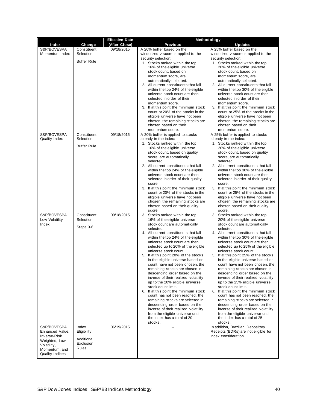|                                |                           | <b>Effective Date</b> | Methodology                                                              |                                                                             |  |
|--------------------------------|---------------------------|-----------------------|--------------------------------------------------------------------------|-----------------------------------------------------------------------------|--|
| Index                          | Change                    | (After Close)         | <b>Previous</b>                                                          | <b>Updated</b>                                                              |  |
| S&P/BOVESPA<br>Momentum Index  | Constituent<br>Selection: | 09/18/2015            | A 20% buffer based on the<br>winsorized z-score is applied to the        | A 25% buffer based on the<br>winsorized z-score is applied to the           |  |
|                                |                           |                       | security selection:                                                      | security selection:                                                         |  |
|                                | <b>Buffer Rule</b>        |                       | 1. Stocks ranked within the top                                          | 1. Stocks ranked within the top                                             |  |
|                                |                           |                       | 16% of the eligible universe                                             | 20% of the eligible universe                                                |  |
|                                |                           |                       | stock count, based on                                                    | stock count, based on                                                       |  |
|                                |                           |                       | momentum score, are<br>automatically selected.                           | momentum score, are<br>automatically selected.                              |  |
|                                |                           |                       | 2. All current constituents that fall                                    | 2. All current constituents that fall                                       |  |
|                                |                           |                       | within the top 24% of the eligible                                       | within the top 30% of the eligible                                          |  |
|                                |                           |                       | universe stock count are then                                            | universe stock count are then                                               |  |
|                                |                           |                       | selected in order of their<br>momentum score.                            | selected in order of their<br>momentum score.                               |  |
|                                |                           |                       | 3. If at this point the minimum stock                                    | 3. If at this point the minimum stock                                       |  |
|                                |                           |                       | count or 20% of the stocks in the                                        | count or 25% of the stocks in the                                           |  |
|                                |                           |                       | eligible universe have not been                                          | eligible universe have not been                                             |  |
|                                |                           |                       | chosen, the remaining stocks are<br>chosen based on their                | chosen, the remaining stocks are<br>chosen based on their                   |  |
|                                |                           |                       | momentum score.                                                          | momentum score.                                                             |  |
| S&P/BOVESPA                    | Constituent               | 09/18/2015            | A 20% buffer is applied to stocks                                        | A 25% buffer is applied to stocks                                           |  |
| <b>Quality Index</b>           | Selection:                |                       | already in the index:                                                    | already in the index:                                                       |  |
|                                | <b>Buffer Rule</b>        |                       | 1. Stocks ranked within the top                                          | 1. Stocks ranked within the top                                             |  |
|                                |                           |                       | 16% of the eligible universe<br>stock count, based on quality            | 20% of the eligible universe<br>stock count, based on quality               |  |
|                                |                           |                       | score, are automatically                                                 | score, are automatically                                                    |  |
|                                |                           |                       | selected.                                                                | selected.                                                                   |  |
|                                |                           |                       | 2. All current constituents that fall                                    | 2. All current constituents that fall<br>within the top 30% of the eligible |  |
|                                |                           |                       | within the top 24% of the eligible<br>universe stock count are then      | universe stock count are then                                               |  |
|                                |                           |                       | selected in order of their quality<br>score.                             | selected in order of their quality<br>score.                                |  |
|                                |                           |                       | 3. If at this point the minimum stock                                    | 3. If at this point the minimum stock                                       |  |
|                                |                           |                       | count or 20% of the stocks in the                                        | count or 25% of the stocks in the                                           |  |
|                                |                           |                       | eligible universe have not been<br>chosen, the remaining stocks are      | eligible universe have not been<br>chosen, the remaining stocks are         |  |
|                                |                           |                       | chosen based on their quality                                            | chosen based on their quality                                               |  |
|                                |                           |                       | score.                                                                   | score.                                                                      |  |
| S&P/BOVESPA                    | Constituent               | 09/18/2015            | 3. Stocks ranked within the top                                          | 3. Stocks ranked within the top                                             |  |
| Low Volatility                 | Selection:                |                       | 16% of the eligible universe                                             | 20% of the eligible universe                                                |  |
| Index                          | Steps 3-6                 |                       | stock count are automatically<br>selected.                               | stock count are automatically<br>selected.                                  |  |
|                                |                           |                       | 4. All current constituents that fall                                    | 4. All current constituents that fall                                       |  |
|                                |                           |                       | within the top 24% of the eligible                                       | within the top 30% of the eligible                                          |  |
|                                |                           |                       | universe stock count are then                                            | universe stock count are then                                               |  |
|                                |                           |                       | selected up to 20% of the eligible<br>universe stock count.              | selected up to 25% of the eligible<br>universe stock count.                 |  |
|                                |                           |                       | 5. If at this point 20% of the stocks                                    | 5. If at this point 25% of the stocks                                       |  |
|                                |                           |                       | in the eligible universe based on                                        | in the eligible universe based on                                           |  |
|                                |                           |                       | count have not been chosen, the                                          | count have not been chosen, the                                             |  |
|                                |                           |                       | remaining stocks are chosen in<br>descending order based on the          | remaining stocks are chosen in<br>descending order based on the             |  |
|                                |                           |                       | inverse of their realized volatility                                     | inverse of their realized volatility                                        |  |
|                                |                           |                       | up to the 20% eligible universe                                          | up to the 25% eligible universe                                             |  |
|                                |                           |                       | stock count limit.                                                       | stock count limit.                                                          |  |
|                                |                           |                       | 6. If at this point the minimum stock<br>count has not been reached, the | 6. If at this point the minimum stock<br>count has not been reached, the    |  |
|                                |                           |                       | remaining stocks are selected in                                         | remaining stocks are selected in                                            |  |
|                                |                           |                       | descending order based on the                                            | descending order based on the                                               |  |
|                                |                           |                       | inverse of their realized volatility<br>from the eligible universe until | inverse of their realized volatility<br>from the eligible universe until    |  |
|                                |                           |                       | the index has a total of 20                                              | the index has a total of 25                                                 |  |
|                                |                           |                       | stocks.                                                                  | stocks.                                                                     |  |
| S&P/BOVESPA<br>Enhanced Value, | Index<br>Eligibility:     | 06/19/2015            | --                                                                       | In addition, Brazilian Depository<br>Receipts (BDRs) are not eligible for   |  |
| Inverse-Risk                   | Additional                |                       |                                                                          | index consideration.                                                        |  |
| Weighted, Low                  | Exclusion                 |                       |                                                                          |                                                                             |  |
| Volatility,<br>Momentum, and   | Rules                     |                       |                                                                          |                                                                             |  |
| <b>Quality Indices</b>         |                           |                       |                                                                          |                                                                             |  |
|                                |                           |                       |                                                                          |                                                                             |  |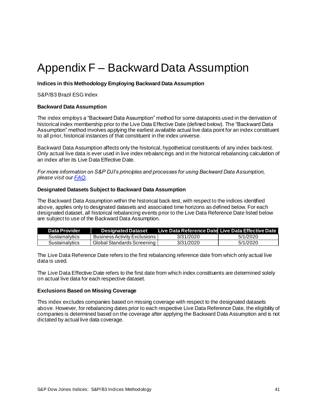# <span id="page-41-0"></span>Appendix F – Backward Data Assumption

### <span id="page-41-1"></span>**Indices in this Methodology Employing Backward Data Assumption**

<span id="page-41-2"></span>S&P/B3 Brazil ESG Index

### **Backward Data Assumption**

The index employs a "Backward Data Assumption" method for some datapoints used in the derivation of historical index membership prior to the Live Data Effective Date (defined below). The "Backward Data Assumption" method involves applying the earliest available actual live data point for an index constituent to all prior, historical instances of that constituent in the index universe.

Backward Data Assumption affects only the historical, hypothetical constituents of any index back-test. Only actual live data is ever used in live index rebalancings and in the historical rebalancing calculation of an index after its Live Data Effective Date.

*For more information on S&P DJI's principles and processes for using Backward Data Assumption, please visit ou[r FAQ](https://www.spglobal.com/spdji/en/education/article/faq-esg-back-testing-backward-data-assumption-overview/)*.

#### <span id="page-41-3"></span>**Designated Datasets Subject to Backward Data Assumption**

The Backward Data Assumption within the historical back-test, with respect to the indices identified above, applies only to designated datasets and associated time horizons as defined below. For each designated dataset, all historical rebalancing events prior to the Live Data Reference Date listed below are subject to use of the Backward Data Assumption.

| Data Provider  | <b>Designated Dataset</b>    | Live Data Reference Date Live Data Effective Date |          |
|----------------|------------------------------|---------------------------------------------------|----------|
| Sustainalytics | Business Activity Exclusions | 3/31/2020                                         | 5/1/2020 |
| Sustainalytics | Global Standards Screening I | 3/31/2020                                         | 5/1/2020 |

The Live Data Reference Date refers to the first rebalancing reference date from which only actual live data is used.

The Live Data Effective Date refers to the first date from which index constituents are determined solely on actual live data for each respective dataset.

### <span id="page-41-4"></span>**Exclusions Based on Missing Coverage**

This index excludes companies based on missing coverage with respect to the designated datasets above. However, for rebalancing dates prior to each respective Live Data Reference Date, the eligibility of companies is determined based on the coverage after applying the Backward Data Assumption and is not dictated by actual live data coverage.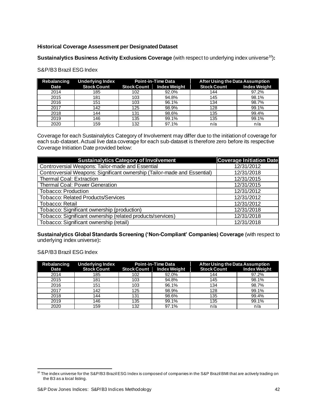### <span id="page-42-0"></span>**Historical Coverage Assessment per Designated Dataset**

**Sustainalytics Business Activity Exclusions Coverage** (with respect to underlying index universe<sup>10</sup>):

### S&P/B3 Brazil ESG Index

| Rebalancing | <b>Underlying Index</b> | <b>Point-in-Time Data</b> |                     | After Using the Data Assumption |                     |
|-------------|-------------------------|---------------------------|---------------------|---------------------------------|---------------------|
| Date        | <b>Stock Count</b>      | Stock Count               | <b>Index Weight</b> | <b>Stock Count</b>              | <b>Index Weight</b> |
| 2014        | 185                     | 102                       | 92.0%               | 144                             | 97.2%               |
| 2015        | 181                     | 103                       | 94.8%               | 145                             | 98.1%               |
| 2016        | 151                     | 103                       | 96.1%               | 134                             | 98.7%               |
| 2017        | 142                     | 125                       | 98.9%               | 128                             | 99.1%               |
| 2018        | 144                     | 131                       | 98.6%               | 135                             | 99.4%               |
| 2019        | 146                     | 135                       | 99.1%               | 135                             | 99.1%               |
| 2020        | 159                     | 132                       | 97.1%               | n/a                             | n/a                 |

Coverage for each Sustainalytics Category of Involvement may differ due to the initiation of coverage for each sub-dataset. Actual live data coverage for each sub-dataset is therefore zero before its respective Coverage Initiation Date provided below:

| <b>Sustainalytics Category of Involvement</b>                            | <b>Coverage Initiation Date</b> |
|--------------------------------------------------------------------------|---------------------------------|
| Controversial Weapons: Tailor-made and Essential                         | 12/31/2012                      |
| Controversial Weapons: Significant ownership (Tailor-made and Essential) | 12/31/2018                      |
| <b>Thermal Coal: Extraction</b>                                          | 12/31/2015                      |
| <b>Thermal Coal: Power Generation</b>                                    | 12/31/2015                      |
| <b>Tobacco: Production</b>                                               | 12/31/2012                      |
| <b>Tobacco: Related Products/Services</b>                                | 12/31/2012                      |
| <b>Tobacco: Retail</b>                                                   | 12/31/2012                      |
| Tobacco: Significant ownership (production)                              | 12/31/2018                      |
| Tobacco: Significant ownership (related products/services)               | 12/31/2018                      |
| Tobacco: Significant ownership (retail)                                  | 12/31/2018                      |

**Sustainalytics Global Standards Screening ('Non-Compliant' Companies) Coverage** (with respect to underlying index universe)**:**

S&P/B3 Brazil ESG Index

| Rebalancing<br>Date | <b>Underlying Index</b><br><b>Stock Count</b> | <b>Point-in-Time Data</b><br>Index Weight<br><b>Stock Count</b> |       | After Using the Data Assumption<br><b>Stock Count</b> | <b>Index Weight</b> |
|---------------------|-----------------------------------------------|-----------------------------------------------------------------|-------|-------------------------------------------------------|---------------------|
| 2014                | 185                                           | 102                                                             | 92.0% | 144                                                   | 97.2%               |
| 2015                | 181                                           | 103                                                             | 94.8% | 145                                                   | 98.1%               |
| 2016                | 151                                           | 103                                                             | 96.1% | 134                                                   | 98.7%               |
| 2017                | 142                                           | 125                                                             | 98.9% | 128                                                   | 99.1%               |
| 2018                | 144                                           | 131                                                             | 98.6% | 135                                                   | 99.4%               |
| 2019                | 146                                           | 135                                                             | 99.1% | 135                                                   | 99.1%               |
| 2020                | 159                                           | 132                                                             | 97.1% | n/a                                                   | n/a                 |

<sup>&</sup>lt;sup>10</sup> The index universe for the S&P/B3 Brazil ESG Index is composed of companies in the S&P Brazil BMI that are actively trading on the B3 as a local listing.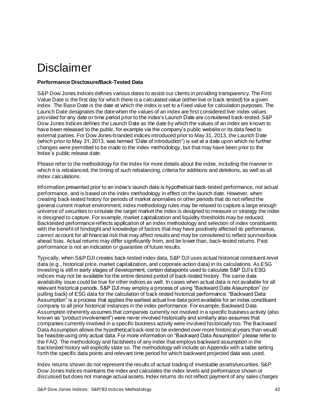### <span id="page-43-0"></span>Disclaimer

### **Performance Disclosure/Back-Tested Data**

S&P Dow Jones Indices defines various dates to assist our clients in providing transparency. The First Value Date is the first day for which there is a calculated value (either live or back-tested) for a given index. The Base Date is the date at which the index is set to a fixed value for calculation purposes. The Launch Date designates the date when the values of an index are first considered live: index values provided for any date or time period prior to the index's Launch Date are considered back-tested. S&P Dow Jones Indices defines the Launch Date as the date by which the values of an index are known to have been released to the public, for example via the company's public website or its data feed to external parties. For Dow Jones-branded indices introduced prior to May 31, 2013, the Launch Date (which prior to May 31, 2013, was termed "Date of introduction") is set at a date upon which no further changes were permitted to be made to the index methodology, but that may have been prior to the Index's public release date.

Please refer to the methodology for the Index for more details about the index, including the manner in which it is rebalanced, the timing of such rebalancing, criteria for additions and deletions, as well as all index calculations.

Information presented prior to an index's launch date is hypothetical back-tested performance, not actual performance, and is based on the index methodology in effect on the launch date. However, when creating back-tested history for periods of market anomalies or other periods that do not reflect the general current market environment, index methodology rules may be relaxed to capture a large enough universe of securities to simulate the target market the index is designed to measure or strategy the index is designed to capture. For example, market capitalization and liquidity thresholds may be reduced. Backtested performance reflects application of an index methodology and selection of index constituents with the benefit of hindsight and knowledge of factors that may have positively affected its performance, cannot account for all financial risk that may affect results and may be considered to reflect survivor/look ahead bias. Actual returns may differ significantly from, and be lower than, back-tested returns. Past performance is not an indication or guarantee of future results.

Typically, when S&P DJI creates back-tested index data, S&P DJI uses actual historical constituent-level data (e.g., historical price, market capitalization, and corporate action data) in its calculations. As ESG investing is still in early stages of development, certain datapoints used to calculate S&P DJI's ESG indices may not be available for the entire desired period of back-tested history. The same data availability issue could be true for other indices as well. In cases when actual data is not available for all relevant historical periods, S&P DJI may employ a process of using "Backward Data Assumption" (or pulling back) of ESG data for the calculation of back-tested historical performance. "Backward Data Assumption" is a process that applies the earliest actual live data point available for an index constituent company to all prior historical instances in the index performance. For example, Backward Data Assumption inherently assumes that companies currently not involved in a specific business activity (also known as "product involvement") were never involved historically and similarly also assumes that companies currently involved in a specific business activity were involved historically too. The Backward Data Assumption allows the hypothetical back-test to be extended over more historical years than would be feasible using only actual data. For more information on "Backward Data Assumption" please refer to the FAQ. The methodology and factsheets of any index that employs backward assumption in the backtested history will explicitly state so. The methodology will include an Appendix with a table setting forth the specific data points and relevant time period for which backward projected data was used.

Index returns shown do not represent the results of actual trading of investable assets/securities. S&P Dow Jones Indices maintains the index and calculates the index levels and performance shown or discussed but does not manage actual assets. Index returns do not reflect payment of any sales charges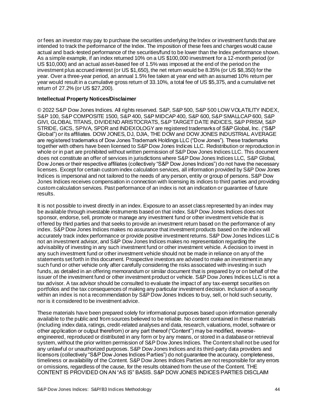or fees an investor may pay to purchase the securities underlying the Index or investment funds that are intended to track the performance of the Index. The imposition of these fees and charges would cause actual and back-tested performance of the securities/fund to be lower than the Index performance shown. As a simple example, if an index returned 10% on a US \$100,000 investment for a 12-month period (or US \$10,000) and an actual asset-based fee of 1.5% was imposed at the end of the period on the investment plus accrued interest (or US \$1,650), the net return would be 8.35% (or US \$8,350) for the year. Over a three-year period, an annual 1.5% fee taken at year end with an assumed 10% return per year would result in a cumulative gross return of 33.10%, a total fee of US \$5,375, and a cumulative net return of 27.2% (or US \$27,200).

### **Intellectual Property Notices/Disclaimer**

© 2022 S&P Dow Jones Indices. All rights reserved. S&P, S&P 500, S&P 500 LOW VOLATILITY INDEX, S&P 100, S&P COMPOSITE 1500, S&P 400, S&P MIDCAP 400, S&P 600, S&P SMALLCAP 600, S&P GIVI, GLOBAL TITANS, DIVIDEND ARISTOCRATS, S&P TARGET DATE INDICES, S&P PRISM, S&P STRIDE, GICS, SPIVA, SPDR and INDEXOLOGY are registered trademarks of S&P Global, Inc. ("S&P Global") or its affiliates. DOW JONES, DJ, DJIA, THE DOW and DOW JONES INDUSTRIAL AVERAGE are registered trademarks of Dow Jones Trademark Holdings LLC ("Dow Jones"). These trademarks together with others have been licensed to S&P Dow Jones Indices LLC. Redistribution or reproduction in whole or in part are prohibited without written permission of S&P Dow Jones Indices LLC. This document does not constitute an offer of services in jurisdictions where S&P Dow Jones Indices LLC, S&P Global, Dow Jones or their respective affiliates (collectively "S&P Dow Jones Indices") do not have the necessary licenses. Except for certain custom index calculation services, all information provided by S&P Dow Jones Indices is impersonal and not tailored to the needs of any person, entity or group of persons. S&P Dow Jones Indices receives compensation in connection with licensing its indices to third parties and providing custom calculation services. Past performance of an index is not an indication or guarantee of future results.

It is not possible to invest directly in an index. Exposure to an asset class represented by an index may be available through investable instruments based on that index. S&P Dow Jones Indices does not sponsor, endorse, sell, promote or manage any investment fund or other investment vehicle that is offered by third parties and that seeks to provide an investment return based on the performance of any index. S&P Dow Jones Indices makes no assurance that investment products based on the index will accurately track index performance or provide positive investment returns. S&P Dow Jones Indices LLC is not an investment advisor, and S&P Dow Jones Indices makes no representation regarding the advisability of investing in any such investment fund or other investment vehicle. A decision to invest in any such investment fund or other investment vehicle should not be made in reliance on any of the statements set forth in this document. Prospective investors are advised to make an investment in any such fund or other vehicle only after carefully considering the risks associated with investing in such funds, as detailed in an offering memorandum or similar document that is prepared by or on behalf of the issuer of the investment fund or other investment product or vehicle. S&P Dow Jones Indices LLC is not a tax advisor. A tax advisor should be consulted to evaluate the impact of any tax-exempt securities on portfolios and the tax consequences of making any particular investment decision. Inclusion of a security within an index is not a recommendation by S&P Dow Jones Indices to buy, sell, or hold such security, nor is it considered to be investment advice.

These materials have been prepared solely for informational purposes based upon information generally available to the public and from sources believed to be reliable. No content contained in these materials (including index data, ratings, credit-related analyses and data, research, valuations, model, software or other application or output therefrom) or any part thereof ("Content") may be modified, reverseengineered, reproduced or distributed in any form or by any means, or stored in a database or retrieval system, without the prior written permission of S&P Dow Jones Indices. The Content shall not be used for any unlawful or unauthorized purposes. S&P Dow Jones Indices and its third-party data providers and licensors (collectively "S&P Dow Jones Indices Parties") do not guarantee the accuracy, completeness, timeliness or availability of the Content. S&P Dow Jones Indices Parties are not responsible for any errors or omissions, regardless of the cause, for the results obtained from the use of the Content. THE CONTENT IS PROVIDED ON AN "AS IS" BASIS. S&P DOW JONES INDICES PARTIES DISCLAIM